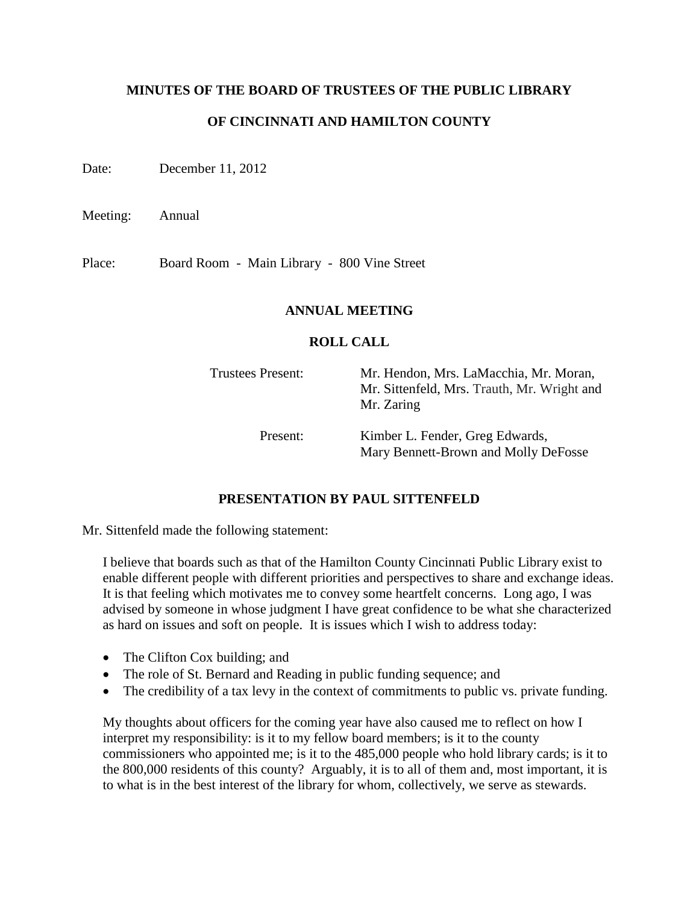### **MINUTES OF THE BOARD OF TRUSTEES OF THE PUBLIC LIBRARY**

## **OF CINCINNATI AND HAMILTON COUNTY**

Date: December 11, 2012

Meeting: Annual

Place: Board Room - Main Library - 800 Vine Street

### **ANNUAL MEETING**

### **ROLL CALL**

Trustees Present: Mr. Hendon, Mrs. LaMacchia, Mr. Moran, Mr. Sittenfeld, Mrs. Trauth, Mr. Wright and Mr. Zaring

Present: Kimber L. Fender, Greg Edwards, Mary Bennett-Brown and Molly DeFosse

## **PRESENTATION BY PAUL SITTENFELD**

Mr. Sittenfeld made the following statement:

I believe that boards such as that of the Hamilton County Cincinnati Public Library exist to enable different people with different priorities and perspectives to share and exchange ideas. It is that feeling which motivates me to convey some heartfelt concerns. Long ago, I was advised by someone in whose judgment I have great confidence to be what she characterized as hard on issues and soft on people. It is issues which I wish to address today:

- The Clifton Cox building; and
- The role of St. Bernard and Reading in public funding sequence; and
- The credibility of a tax levy in the context of commitments to public vs. private funding.

My thoughts about officers for the coming year have also caused me to reflect on how I interpret my responsibility: is it to my fellow board members; is it to the county commissioners who appointed me; is it to the 485,000 people who hold library cards; is it to the 800,000 residents of this county? Arguably, it is to all of them and, most important, it is to what is in the best interest of the library for whom, collectively, we serve as stewards.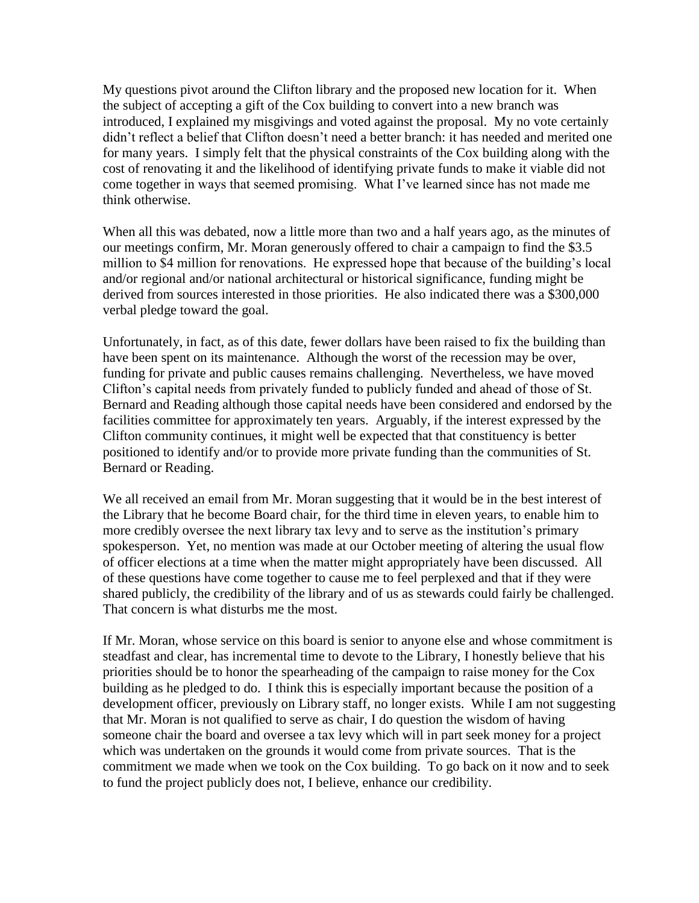My questions pivot around the Clifton library and the proposed new location for it. When the subject of accepting a gift of the Cox building to convert into a new branch was introduced, I explained my misgivings and voted against the proposal. My no vote certainly didn't reflect a belief that Clifton doesn't need a better branch: it has needed and merited one for many years. I simply felt that the physical constraints of the Cox building along with the cost of renovating it and the likelihood of identifying private funds to make it viable did not come together in ways that seemed promising. What I've learned since has not made me think otherwise.

When all this was debated, now a little more than two and a half years ago, as the minutes of our meetings confirm, Mr. Moran generously offered to chair a campaign to find the \$3.5 million to \$4 million for renovations. He expressed hope that because of the building's local and/or regional and/or national architectural or historical significance, funding might be derived from sources interested in those priorities. He also indicated there was a \$300,000 verbal pledge toward the goal.

Unfortunately, in fact, as of this date, fewer dollars have been raised to fix the building than have been spent on its maintenance. Although the worst of the recession may be over, funding for private and public causes remains challenging. Nevertheless, we have moved Clifton's capital needs from privately funded to publicly funded and ahead of those of St. Bernard and Reading although those capital needs have been considered and endorsed by the facilities committee for approximately ten years. Arguably, if the interest expressed by the Clifton community continues, it might well be expected that that constituency is better positioned to identify and/or to provide more private funding than the communities of St. Bernard or Reading.

We all received an email from Mr. Moran suggesting that it would be in the best interest of the Library that he become Board chair, for the third time in eleven years, to enable him to more credibly oversee the next library tax levy and to serve as the institution's primary spokesperson. Yet, no mention was made at our October meeting of altering the usual flow of officer elections at a time when the matter might appropriately have been discussed. All of these questions have come together to cause me to feel perplexed and that if they were shared publicly, the credibility of the library and of us as stewards could fairly be challenged. That concern is what disturbs me the most.

If Mr. Moran, whose service on this board is senior to anyone else and whose commitment is steadfast and clear, has incremental time to devote to the Library, I honestly believe that his priorities should be to honor the spearheading of the campaign to raise money for the Cox building as he pledged to do. I think this is especially important because the position of a development officer, previously on Library staff, no longer exists. While I am not suggesting that Mr. Moran is not qualified to serve as chair, I do question the wisdom of having someone chair the board and oversee a tax levy which will in part seek money for a project which was undertaken on the grounds it would come from private sources. That is the commitment we made when we took on the Cox building. To go back on it now and to seek to fund the project publicly does not, I believe, enhance our credibility.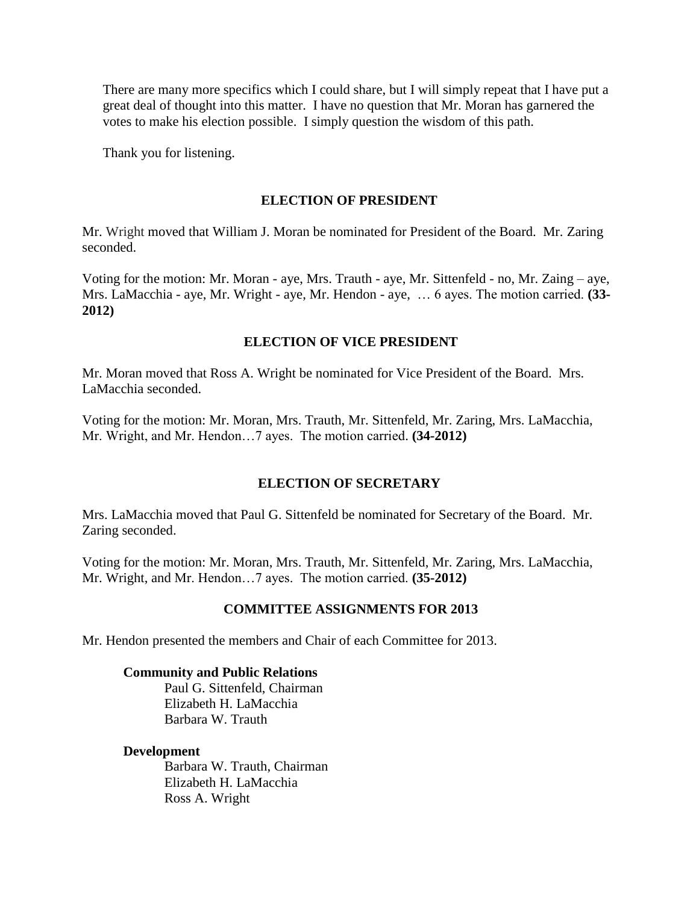There are many more specifics which I could share, but I will simply repeat that I have put a great deal of thought into this matter. I have no question that Mr. Moran has garnered the votes to make his election possible. I simply question the wisdom of this path.

Thank you for listening.

### **ELECTION OF PRESIDENT**

Mr. Wright moved that William J. Moran be nominated for President of the Board. Mr. Zaring seconded.

Voting for the motion: Mr. Moran - aye, Mrs. Trauth - aye, Mr. Sittenfeld - no, Mr. Zaing – aye, Mrs. LaMacchia - aye, Mr. Wright - aye, Mr. Hendon - aye, … 6 ayes. The motion carried. **(33- 2012)**

### **ELECTION OF VICE PRESIDENT**

Mr. Moran moved that Ross A. Wright be nominated for Vice President of the Board. Mrs. LaMacchia seconded.

Voting for the motion: Mr. Moran, Mrs. Trauth, Mr. Sittenfeld, Mr. Zaring, Mrs. LaMacchia, Mr. Wright, and Mr. Hendon…7 ayes. The motion carried. **(34-2012)**

### **ELECTION OF SECRETARY**

Mrs. LaMacchia moved that Paul G. Sittenfeld be nominated for Secretary of the Board. Mr. Zaring seconded.

Voting for the motion: Mr. Moran, Mrs. Trauth, Mr. Sittenfeld, Mr. Zaring, Mrs. LaMacchia, Mr. Wright, and Mr. Hendon…7 ayes. The motion carried. **(35-2012)**

### **COMMITTEE ASSIGNMENTS FOR 2013**

Mr. Hendon presented the members and Chair of each Committee for 2013.

#### **Community and Public Relations**

Paul G. Sittenfeld, Chairman Elizabeth H. LaMacchia Barbara W. Trauth

#### **Development**

Barbara W. Trauth, Chairman Elizabeth H. LaMacchia Ross A. Wright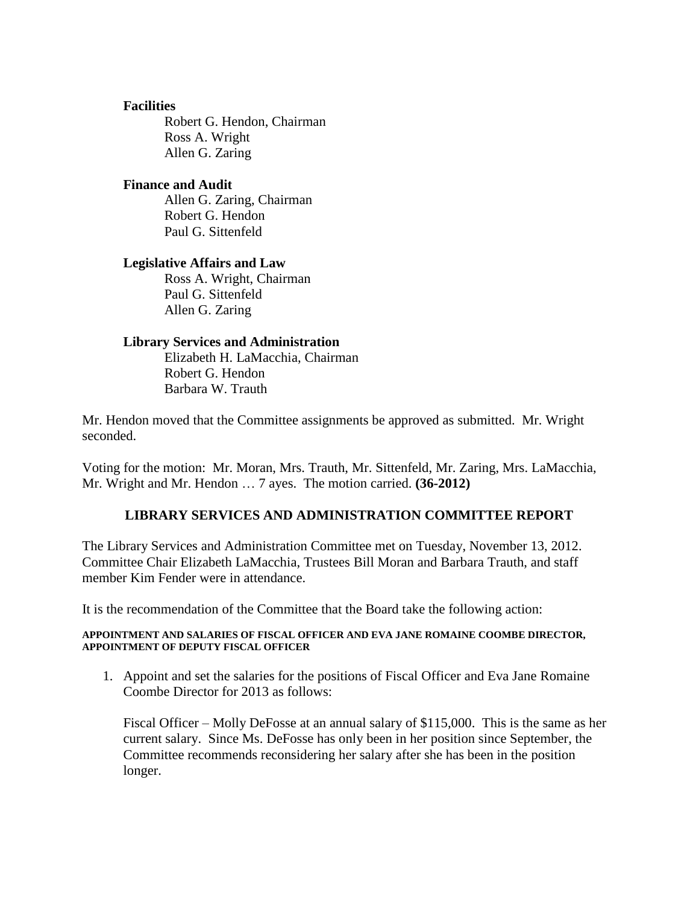### **Facilities**

Robert G. Hendon, Chairman Ross A. Wright Allen G. Zaring

### **Finance and Audit**

Allen G. Zaring, Chairman Robert G. Hendon Paul G. Sittenfeld

#### **Legislative Affairs and Law**

Ross A. Wright, Chairman Paul G. Sittenfeld Allen G. Zaring

#### **Library Services and Administration**

Elizabeth H. LaMacchia, Chairman Robert G. Hendon Barbara W. Trauth

Mr. Hendon moved that the Committee assignments be approved as submitted. Mr. Wright seconded.

Voting for the motion: Mr. Moran, Mrs. Trauth, Mr. Sittenfeld, Mr. Zaring, Mrs. LaMacchia, Mr. Wright and Mr. Hendon … 7 ayes. The motion carried. **(36-2012)**

### **LIBRARY SERVICES AND ADMINISTRATION COMMITTEE REPORT**

The Library Services and Administration Committee met on Tuesday, November 13, 2012. Committee Chair Elizabeth LaMacchia, Trustees Bill Moran and Barbara Trauth, and staff member Kim Fender were in attendance.

It is the recommendation of the Committee that the Board take the following action:

#### **APPOINTMENT AND SALARIES OF FISCAL OFFICER AND EVA JANE ROMAINE COOMBE DIRECTOR, APPOINTMENT OF DEPUTY FISCAL OFFICER**

1. Appoint and set the salaries for the positions of Fiscal Officer and Eva Jane Romaine Coombe Director for 2013 as follows:

Fiscal Officer – Molly DeFosse at an annual salary of \$115,000. This is the same as her current salary. Since Ms. DeFosse has only been in her position since September, the Committee recommends reconsidering her salary after she has been in the position longer.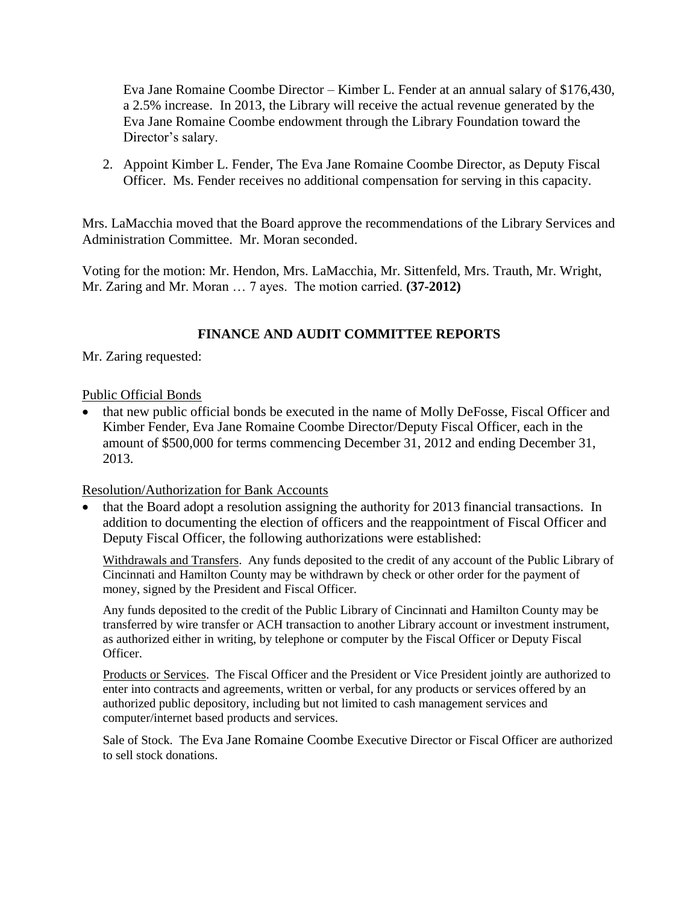Eva Jane Romaine Coombe Director – Kimber L. Fender at an annual salary of \$176,430, a 2.5% increase. In 2013, the Library will receive the actual revenue generated by the Eva Jane Romaine Coombe endowment through the Library Foundation toward the Director's salary.

2. Appoint Kimber L. Fender, The Eva Jane Romaine Coombe Director, as Deputy Fiscal Officer. Ms. Fender receives no additional compensation for serving in this capacity.

Mrs. LaMacchia moved that the Board approve the recommendations of the Library Services and Administration Committee. Mr. Moran seconded.

Voting for the motion: Mr. Hendon, Mrs. LaMacchia, Mr. Sittenfeld, Mrs. Trauth, Mr. Wright, Mr. Zaring and Mr. Moran … 7 ayes. The motion carried. **(37-2012)**

## **FINANCE AND AUDIT COMMITTEE REPORTS**

Mr. Zaring requested:

### Public Official Bonds

• that new public official bonds be executed in the name of Molly DeFosse, Fiscal Officer and Kimber Fender, Eva Jane Romaine Coombe Director/Deputy Fiscal Officer, each in the amount of \$500,000 for terms commencing December 31, 2012 and ending December 31, 2013.

### Resolution/Authorization for Bank Accounts

 that the Board adopt a resolution assigning the authority for 2013 financial transactions. In addition to documenting the election of officers and the reappointment of Fiscal Officer and Deputy Fiscal Officer, the following authorizations were established:

Withdrawals and Transfers. Any funds deposited to the credit of any account of the Public Library of Cincinnati and Hamilton County may be withdrawn by check or other order for the payment of money, signed by the President and Fiscal Officer.

Any funds deposited to the credit of the Public Library of Cincinnati and Hamilton County may be transferred by wire transfer or ACH transaction to another Library account or investment instrument, as authorized either in writing, by telephone or computer by the Fiscal Officer or Deputy Fiscal Officer.

Products or Services. The Fiscal Officer and the President or Vice President jointly are authorized to enter into contracts and agreements, written or verbal, for any products or services offered by an authorized public depository, including but not limited to cash management services and computer/internet based products and services.

Sale of Stock. The Eva Jane Romaine Coombe Executive Director or Fiscal Officer are authorized to sell stock donations.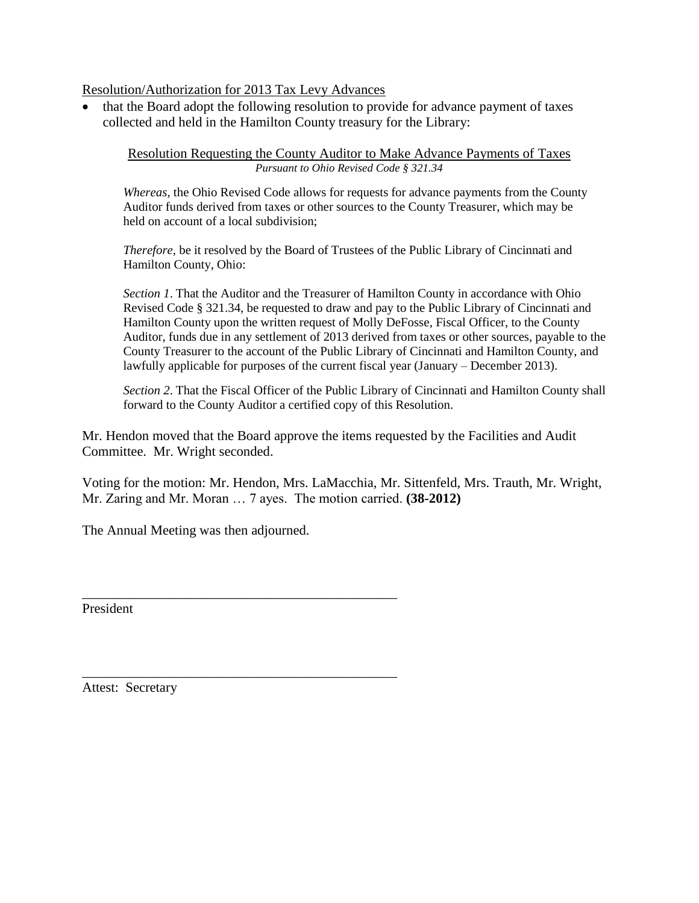### Resolution/Authorization for 2013 Tax Levy Advances

 that the Board adopt the following resolution to provide for advance payment of taxes collected and held in the Hamilton County treasury for the Library:

Resolution Requesting the County Auditor to Make Advance Payments of Taxes *Pursuant to Ohio Revised Code § 321.34*

*Whereas*, the Ohio Revised Code allows for requests for advance payments from the County Auditor funds derived from taxes or other sources to the County Treasurer, which may be held on account of a local subdivision;

*Therefore*, be it resolved by the Board of Trustees of the Public Library of Cincinnati and Hamilton County, Ohio:

*Section 1*. That the Auditor and the Treasurer of Hamilton County in accordance with Ohio Revised Code § 321.34, be requested to draw and pay to the Public Library of Cincinnati and Hamilton County upon the written request of Molly DeFosse, Fiscal Officer, to the County Auditor, funds due in any settlement of 2013 derived from taxes or other sources, payable to the County Treasurer to the account of the Public Library of Cincinnati and Hamilton County, and lawfully applicable for purposes of the current fiscal year (January – December 2013).

*Section 2*. That the Fiscal Officer of the Public Library of Cincinnati and Hamilton County shall forward to the County Auditor a certified copy of this Resolution.

Mr. Hendon moved that the Board approve the items requested by the Facilities and Audit Committee. Mr. Wright seconded.

Voting for the motion: Mr. Hendon, Mrs. LaMacchia, Mr. Sittenfeld, Mrs. Trauth, Mr. Wright, Mr. Zaring and Mr. Moran … 7 ayes. The motion carried. **(38-2012)**

The Annual Meeting was then adjourned.

\_\_\_\_\_\_\_\_\_\_\_\_\_\_\_\_\_\_\_\_\_\_\_\_\_\_\_\_\_\_\_\_\_\_\_\_\_\_\_\_\_\_\_\_\_\_

\_\_\_\_\_\_\_\_\_\_\_\_\_\_\_\_\_\_\_\_\_\_\_\_\_\_\_\_\_\_\_\_\_\_\_\_\_\_\_\_\_\_\_\_\_\_

President

Attest: Secretary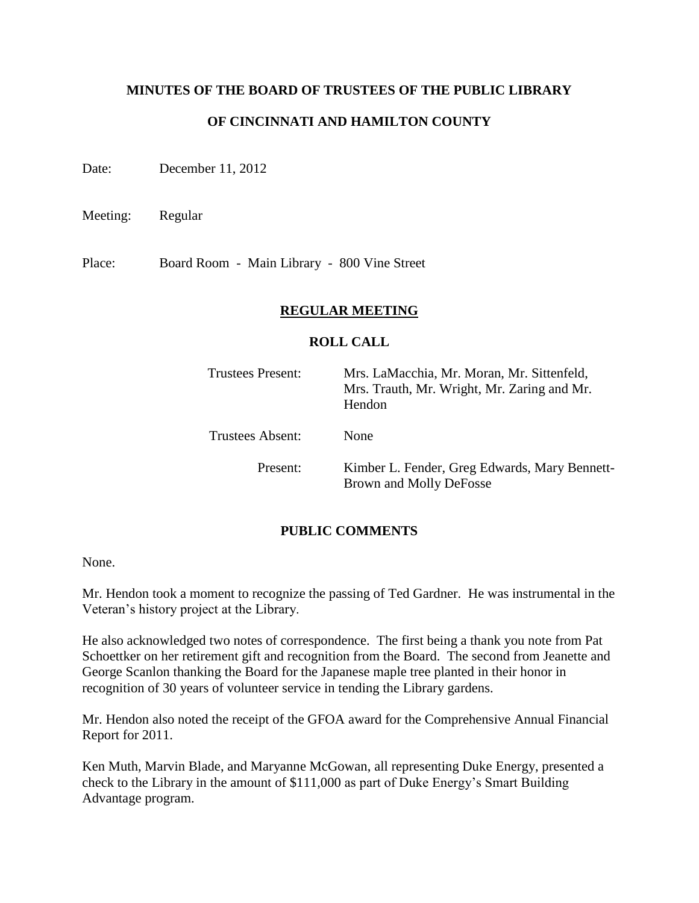### **MINUTES OF THE BOARD OF TRUSTEES OF THE PUBLIC LIBRARY**

## **OF CINCINNATI AND HAMILTON COUNTY**

Date: December 11, 2012

Meeting: Regular

Place: Board Room - Main Library - 800 Vine Street

### **REGULAR MEETING**

### **ROLL CALL**

| <b>Trustees Present:</b> | Mrs. LaMacchia, Mr. Moran, Mr. Sittenfeld,<br>Mrs. Trauth, Mr. Wright, Mr. Zaring and Mr.<br>Hendon |
|--------------------------|-----------------------------------------------------------------------------------------------------|
| <b>Trustees Absent:</b>  | <b>None</b>                                                                                         |
| Present:                 | Kimber L. Fender, Greg Edwards, Mary Bennett-<br>Brown and Molly DeFosse                            |

## **PUBLIC COMMENTS**

None.

Mr. Hendon took a moment to recognize the passing of Ted Gardner. He was instrumental in the Veteran's history project at the Library.

He also acknowledged two notes of correspondence. The first being a thank you note from Pat Schoettker on her retirement gift and recognition from the Board. The second from Jeanette and George Scanlon thanking the Board for the Japanese maple tree planted in their honor in recognition of 30 years of volunteer service in tending the Library gardens.

Mr. Hendon also noted the receipt of the GFOA award for the Comprehensive Annual Financial Report for 2011.

Ken Muth, Marvin Blade, and Maryanne McGowan, all representing Duke Energy, presented a check to the Library in the amount of \$111,000 as part of Duke Energy's Smart Building Advantage program.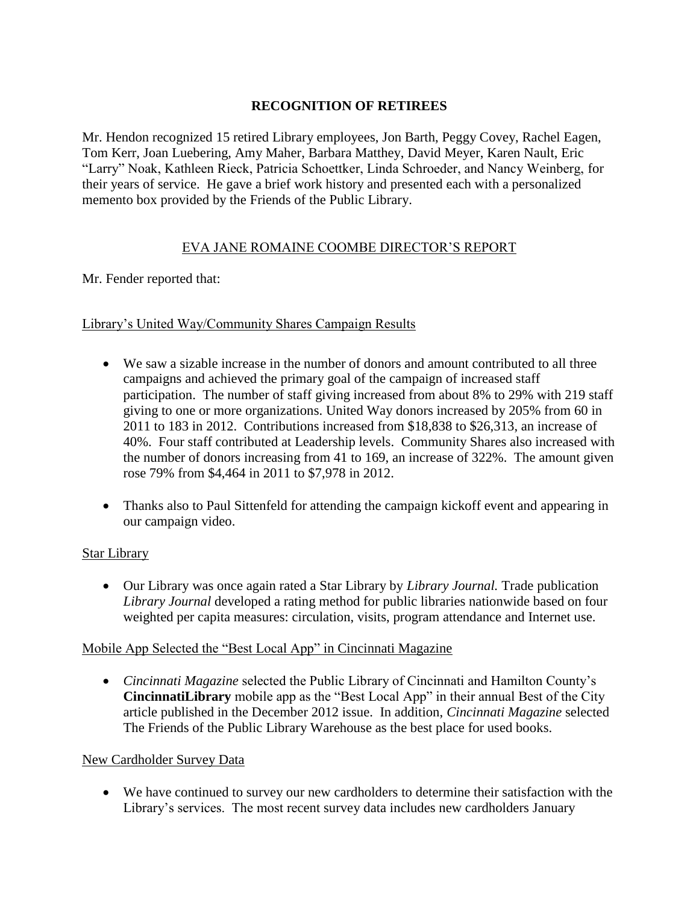## **RECOGNITION OF RETIREES**

Mr. Hendon recognized 15 retired Library employees, Jon Barth, Peggy Covey, Rachel Eagen, Tom Kerr, Joan Luebering, Amy Maher, Barbara Matthey, David Meyer, Karen Nault, Eric "Larry" Noak, Kathleen Rieck, Patricia Schoettker, Linda Schroeder, and Nancy Weinberg, for their years of service. He gave a brief work history and presented each with a personalized memento box provided by the Friends of the Public Library.

# EVA JANE ROMAINE COOMBE DIRECTOR'S REPORT

### Mr. Fender reported that:

## Library's United Way/Community Shares Campaign Results

- We saw a sizable increase in the number of donors and amount contributed to all three campaigns and achieved the primary goal of the campaign of increased staff participation. The number of staff giving increased from about 8% to 29% with 219 staff giving to one or more organizations. United Way donors increased by 205% from 60 in 2011 to 183 in 2012. Contributions increased from \$18,838 to \$26,313, an increase of 40%. Four staff contributed at Leadership levels. Community Shares also increased with the number of donors increasing from 41 to 169, an increase of 322%. The amount given rose 79% from \$4,464 in 2011 to \$7,978 in 2012.
- Thanks also to Paul Sittenfeld for attending the campaign kickoff event and appearing in our campaign video.

### Star Library

 Our Library was once again rated a Star Library by *Library Journal.* Trade publication *Library Journal* developed a rating method for public libraries nationwide based on four weighted per capita measures: circulation, visits, program attendance and Internet use.

### Mobile App Selected the "Best Local App" in Cincinnati Magazine

 *Cincinnati Magazine* selected the Public Library of Cincinnati and Hamilton County's **CincinnatiLibrary** mobile app as the "Best Local App" in their annual Best of the City article published in the December 2012 issue. In addition, *Cincinnati Magazine* selected The Friends of the Public Library Warehouse as the best place for used books.

### New Cardholder Survey Data

 We have continued to survey our new cardholders to determine their satisfaction with the Library's services. The most recent survey data includes new cardholders January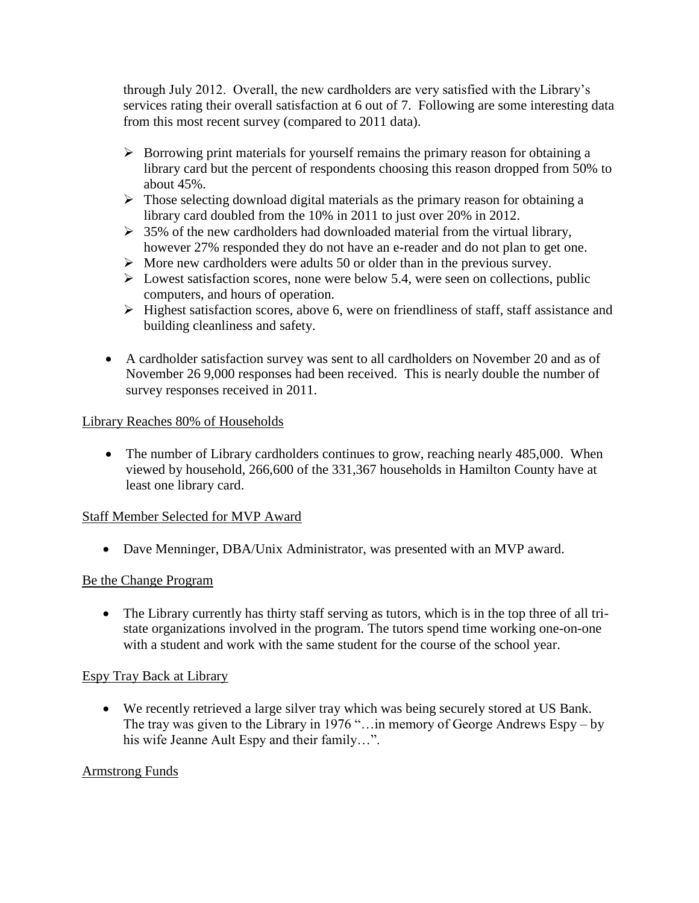through July 2012. Overall, the new cardholders are very satisfied with the Library's services rating their overall satisfaction at 6 out of 7. Following are some interesting data from this most recent survey (compared to 2011 data).

- $\triangleright$  Borrowing print materials for yourself remains the primary reason for obtaining a library card but the percent of respondents choosing this reason dropped from 50% to about 45%.
- $\triangleright$  Those selecting download digital materials as the primary reason for obtaining a library card doubled from the 10% in 2011 to just over 20% in 2012.
- $\geq$  35% of the new cardholders had downloaded material from the virtual library, however 27% responded they do not have an e-reader and do not plan to get one.
- $\triangleright$  More new cardholders were adults 50 or older than in the previous survey.
- $\triangleright$  Lowest satisfaction scores, none were below 5.4, were seen on collections, public computers, and hours of operation.
- $\triangleright$  Highest satisfaction scores, above 6, were on friendliness of staff, staff assistance and building cleanliness and safety.
- A cardholder satisfaction survey was sent to all cardholders on November 20 and as of November 26 9,000 responses had been received. This is nearly double the number of survey responses received in 2011.

## Library Reaches 80% of Households

• The number of Library cardholders continues to grow, reaching nearly 485,000. When viewed by household, 266,600 of the 331,367 households in Hamilton County have at least one library card.

## Staff Member Selected for MVP Award

Dave Menninger, DBA/Unix Administrator, was presented with an MVP award.

## Be the Change Program

• The Library currently has thirty staff serving as tutors, which is in the top three of all tristate organizations involved in the program. The tutors spend time working one-on-one with a student and work with the same student for the course of the school year.

## Espy Tray Back at Library

 We recently retrieved a large silver tray which was being securely stored at US Bank. The tray was given to the Library in 1976 "…in memory of George Andrews Espy – by his wife Jeanne Ault Espy and their family…".

## Armstrong Funds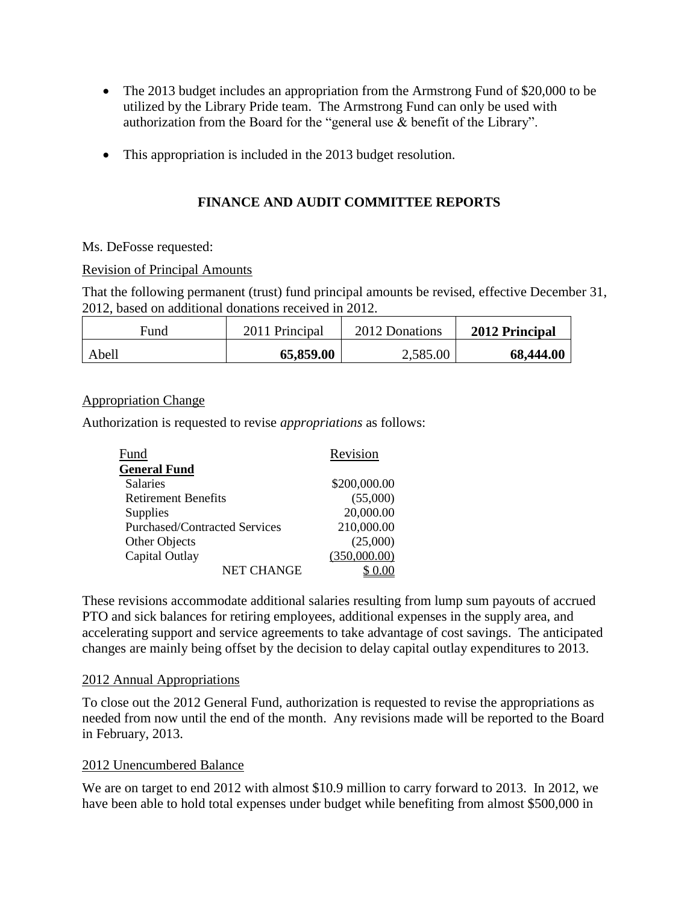- The 2013 budget includes an appropriation from the Armstrong Fund of \$20,000 to be utilized by the Library Pride team. The Armstrong Fund can only be used with authorization from the Board for the "general use & benefit of the Library".
- This appropriation is included in the 2013 budget resolution.

# **FINANCE AND AUDIT COMMITTEE REPORTS**

Ms. DeFosse requested:

### Revision of Principal Amounts

That the following permanent (trust) fund principal amounts be revised, effective December 31, 2012, based on additional donations received in 2012.

| Fund  | 2011 Principal | 2012 Donations | 2012 Principal |
|-------|----------------|----------------|----------------|
| Abell | 65,859.00      | 2,585.00       | 68,444.00      |

## Appropriation Change

Authorization is requested to revise *appropriations* as follows:

| Fund                                 | Revision     |
|--------------------------------------|--------------|
| <b>General Fund</b>                  |              |
| <b>Salaries</b>                      | \$200,000.00 |
| <b>Retirement Benefits</b>           | (55,000)     |
| Supplies                             | 20,000.00    |
| <b>Purchased/Contracted Services</b> | 210,000.00   |
| Other Objects                        | (25,000)     |
| Capital Outlay                       | (350,000.00) |
| <b>NET CHANGE</b>                    |              |

These revisions accommodate additional salaries resulting from lump sum payouts of accrued PTO and sick balances for retiring employees, additional expenses in the supply area, and accelerating support and service agreements to take advantage of cost savings. The anticipated changes are mainly being offset by the decision to delay capital outlay expenditures to 2013.

## 2012 Annual Appropriations

To close out the 2012 General Fund, authorization is requested to revise the appropriations as needed from now until the end of the month. Any revisions made will be reported to the Board in February, 2013.

## 2012 Unencumbered Balance

We are on target to end 2012 with almost \$10.9 million to carry forward to 2013. In 2012, we have been able to hold total expenses under budget while benefiting from almost \$500,000 in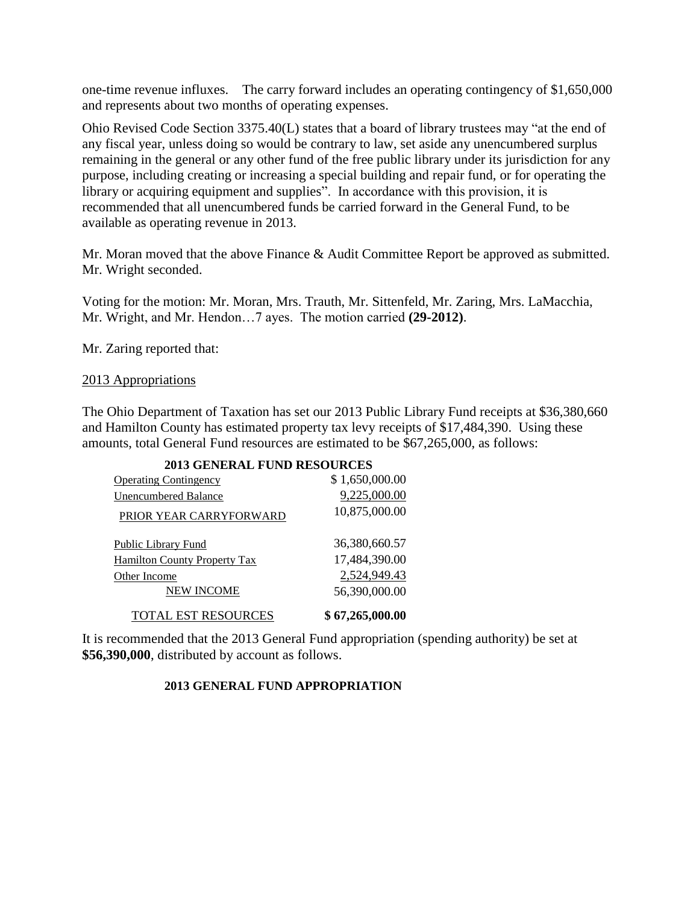one-time revenue influxes. The carry forward includes an operating contingency of \$1,650,000 and represents about two months of operating expenses.

Ohio Revised Code Section 3375.40(L) states that a board of library trustees may "at the end of any fiscal year, unless doing so would be contrary to law, set aside any unencumbered surplus remaining in the general or any other fund of the free public library under its jurisdiction for any purpose, including creating or increasing a special building and repair fund, or for operating the library or acquiring equipment and supplies". In accordance with this provision, it is recommended that all unencumbered funds be carried forward in the General Fund, to be available as operating revenue in 2013.

Mr. Moran moved that the above Finance & Audit Committee Report be approved as submitted. Mr. Wright seconded.

Voting for the motion: Mr. Moran, Mrs. Trauth, Mr. Sittenfeld, Mr. Zaring, Mrs. LaMacchia, Mr. Wright, and Mr. Hendon…7 ayes. The motion carried **(29-2012)**.

Mr. Zaring reported that:

### 2013 Appropriations

The Ohio Department of Taxation has set our 2013 Public Library Fund receipts at \$36,380,660 and Hamilton County has estimated property tax levy receipts of \$17,484,390. Using these amounts, total General Fund resources are estimated to be \$67,265,000, as follows:

| <b>2013 GENERAL FUND RESOURCES</b>  |                 |
|-------------------------------------|-----------------|
| <b>Operating Contingency</b>        | \$1,650,000.00  |
| <b>Unencumbered Balance</b>         | 9,225,000.00    |
| PRIOR YEAR CARRYFORWARD             | 10,875,000.00   |
| <b>Public Library Fund</b>          | 36,380,660.57   |
| <b>Hamilton County Property Tax</b> | 17,484,390.00   |
| Other Income                        | 2,524,949.43    |
| <b>NEW INCOME</b>                   | 56,390,000.00   |
| <b>TOTAL EST RESOURCES</b>          | \$67,265,000.00 |

It is recommended that the 2013 General Fund appropriation (spending authority) be set at **\$56,390,000**, distributed by account as follows.

### **2013 GENERAL FUND APPROPRIATION**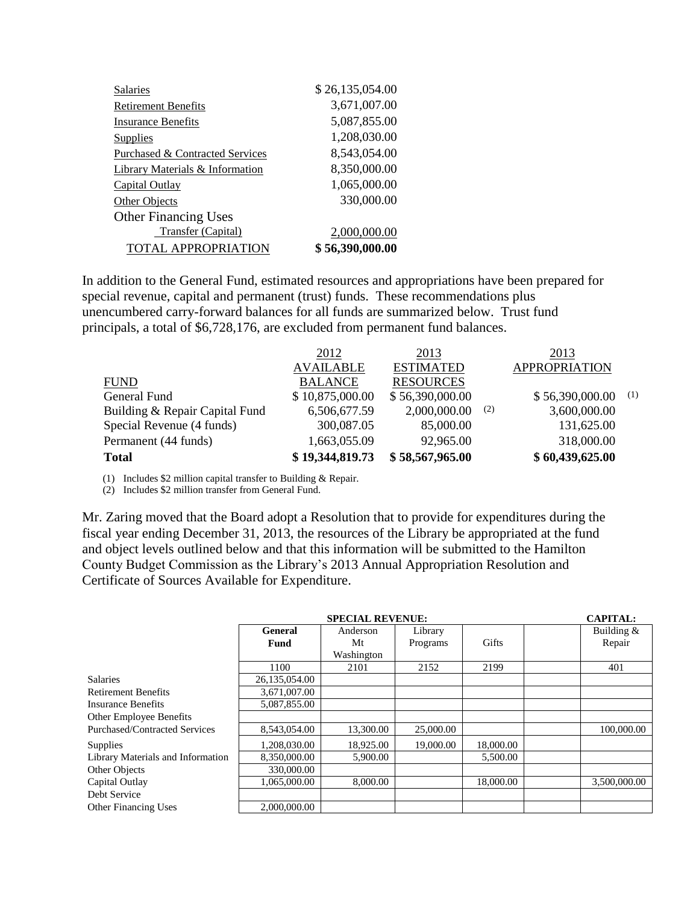| <b>Salaries</b>                            | \$26,135,054.00 |
|--------------------------------------------|-----------------|
| <b>Retirement Benefits</b>                 | 3,671,007.00    |
| <b>Insurance Benefits</b>                  | 5,087,855.00    |
| Supplies                                   | 1,208,030.00    |
| Purchased & Contracted Services            | 8,543,054.00    |
| <b>Library Materials &amp; Information</b> | 8,350,000.00    |
| Capital Outlay                             | 1,065,000.00    |
| Other Objects                              | 330,000.00      |
| <b>Other Financing Uses</b>                |                 |
| Transfer (Capital)                         | 2,000,000.00    |
| <b>TOTAL APPROPRIATION</b>                 | \$56,390,000.00 |

In addition to the General Fund, estimated resources and appropriations have been prepared for special revenue, capital and permanent (trust) funds. These recommendations plus unencumbered carry-forward balances for all funds are summarized below. Trust fund principals, a total of \$6,728,176, are excluded from permanent fund balances.

|                                | 2012             | 2013             |     | 2013                 |     |
|--------------------------------|------------------|------------------|-----|----------------------|-----|
|                                | <b>AVAILABLE</b> | <b>ESTIMATED</b> |     | <b>APPROPRIATION</b> |     |
| <b>FUND</b>                    | <b>BALANCE</b>   | <b>RESOURCES</b> |     |                      |     |
| General Fund                   | \$10,875,000.00  | \$56,390,000.00  |     | \$56,390,000.00      | (1) |
| Building & Repair Capital Fund | 6,506,677.59     | 2,000,000.00     | (2) | 3,600,000.00         |     |
| Special Revenue (4 funds)      | 300,087.05       | 85,000.00        |     | 131,625.00           |     |
| Permanent (44 funds)           | 1,663,055.09     | 92,965.00        |     | 318,000.00           |     |
| <b>Total</b>                   | \$19,344,819.73  | \$58,567,965.00  |     | \$60,439,625.00      |     |

(1) Includes \$2 million capital transfer to Building & Repair.

(2) Includes \$2 million transfer from General Fund.

Mr. Zaring moved that the Board adopt a Resolution that to provide for expenditures during the fiscal year ending December 31, 2013, the resources of the Library be appropriated at the fund and object levels outlined below and that this information will be submitted to the Hamilton County Budget Commission as the Library's 2013 Annual Appropriation Resolution and Certificate of Sources Available for Expenditure.

|                                   |               | <b>CAPITAL:</b>     |           |           |              |
|-----------------------------------|---------------|---------------------|-----------|-----------|--------------|
|                                   | General       | Anderson<br>Library |           |           | Building $&$ |
|                                   | Fund          | Mt                  | Programs  | Gifts     | Repair       |
|                                   |               | Washington          |           |           |              |
|                                   | 1100          | 2101                | 2152      | 2199      | 401          |
| <b>Salaries</b>                   | 26,135,054.00 |                     |           |           |              |
| <b>Retirement Benefits</b>        | 3,671,007.00  |                     |           |           |              |
| Insurance Benefits                | 5,087,855.00  |                     |           |           |              |
| Other Employee Benefits           |               |                     |           |           |              |
| Purchased/Contracted Services     | 8,543,054.00  | 13,300.00           | 25,000.00 |           | 100,000.00   |
| Supplies                          | 1,208,030.00  | 18,925.00           | 19,000.00 | 18,000.00 |              |
| Library Materials and Information | 8,350,000.00  | 5,900.00            |           | 5,500.00  |              |
| Other Objects                     | 330,000.00    |                     |           |           |              |
| Capital Outlay                    | 1.065.000.00  | 8,000.00            |           | 18,000.00 | 3.500,000.00 |
| Debt Service                      |               |                     |           |           |              |
| <b>Other Financing Uses</b>       | 2,000,000.00  |                     |           |           |              |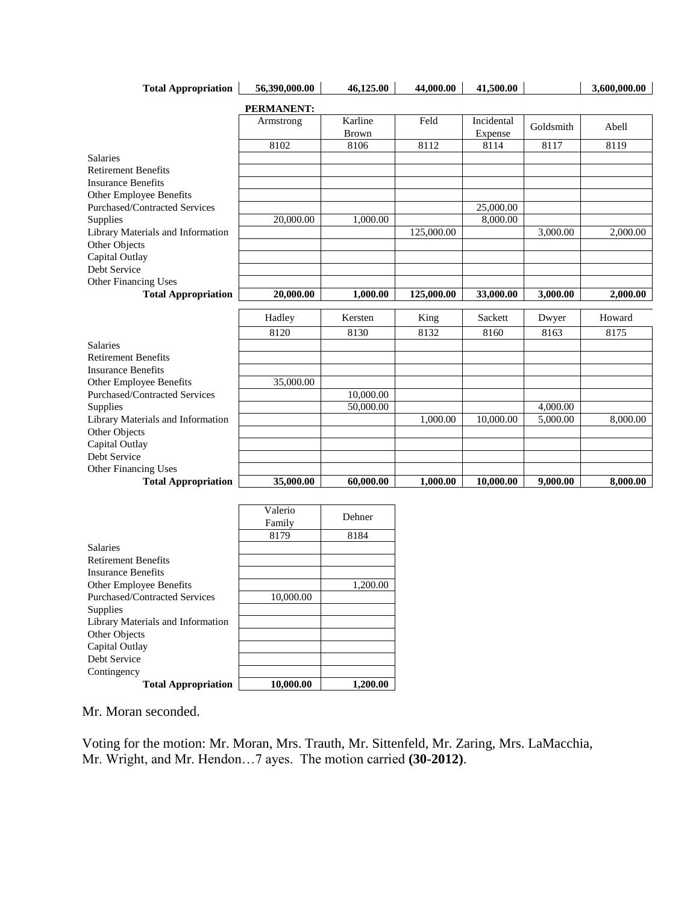| <b>Total Appropriation</b>        | 56.390.000.00     | 46,125.00    | 44,000.00  | 41,500.00  |           | 3,600,000.00 |
|-----------------------------------|-------------------|--------------|------------|------------|-----------|--------------|
|                                   | <b>PERMANENT:</b> |              |            |            |           |              |
|                                   | Armstrong         | Karline      | Feld       | Incidental | Goldsmith | Abell        |
|                                   |                   | <b>Brown</b> |            | Expense    |           |              |
|                                   | 8102              | 8106         | 8112       | 8114       | 8117      | 8119         |
| <b>Salaries</b>                   |                   |              |            |            |           |              |
| <b>Retirement Benefits</b>        |                   |              |            |            |           |              |
| <b>Insurance Benefits</b>         |                   |              |            |            |           |              |
| Other Employee Benefits           |                   |              |            |            |           |              |
| Purchased/Contracted Services     |                   |              |            | 25,000.00  |           |              |
| Supplies                          | 20,000.00         | 1,000.00     |            | 8,000.00   |           |              |
| Library Materials and Information |                   |              | 125,000.00 |            | 3,000.00  | 2,000.00     |
| Other Objects                     |                   |              |            |            |           |              |
| Capital Outlay                    |                   |              |            |            |           |              |
| Debt Service                      |                   |              |            |            |           |              |
| Other Financing Uses              |                   |              |            |            |           |              |
| <b>Total Appropriation</b>        | 20,000.00         | 1,000.00     | 125,000.00 | 33,000.00  | 3,000.00  | 2,000.00     |
|                                   | Hadley            | Kersten      | King       | Sackett    | Dwyer     | Howard       |
|                                   | 8120              | 8130         | 8132       | 8160       | 8163      | 8175         |
| <b>Salaries</b>                   |                   |              |            |            |           |              |
| <b>Retirement Benefits</b>        |                   |              |            |            |           |              |
| <b>Insurance Benefits</b>         |                   |              |            |            |           |              |
| Other Employee Benefits           | 35,000.00         |              |            |            |           |              |
| Purchased/Contracted Services     |                   | 10,000.00    |            |            |           |              |
| Supplies                          |                   | 50,000.00    |            |            | 4,000.00  |              |
| Library Materials and Information |                   |              | 1,000.00   | 10,000.00  | 5,000.00  | 8,000.00     |
| Other Objects                     |                   |              |            |            |           |              |
| Capital Outlay                    |                   |              |            |            |           |              |
| Debt Service                      |                   |              |            |            |           |              |
| Other Financing Uses              |                   |              |            |            |           |              |
| <b>Total Appropriation</b>        | 35,000.00         | 60,000.00    | 1,000.00   | 10,000.00  | 9,000.00  | 8,000.00     |

٦

|                                   | Valerio   | Dehner   |
|-----------------------------------|-----------|----------|
|                                   | Family    |          |
|                                   | 8179      | 8184     |
| <b>Salaries</b>                   |           |          |
| <b>Retirement Benefits</b>        |           |          |
| Insurance Benefits                |           |          |
| <b>Other Employee Benefits</b>    |           | 1,200.00 |
| Purchased/Contracted Services     | 10,000.00 |          |
| Supplies                          |           |          |
| Library Materials and Information |           |          |
| Other Objects                     |           |          |
| Capital Outlay                    |           |          |
| Debt Service                      |           |          |
| Contingency                       |           |          |
| <b>Total Appropriation</b>        | 10,000.00 | 1.200.00 |

Mr. Moran seconded.

Voting for the motion: Mr. Moran, Mrs. Trauth, Mr. Sittenfeld, Mr. Zaring, Mrs. LaMacchia, Mr. Wright, and Mr. Hendon…7 ayes. The motion carried **(30-2012)**.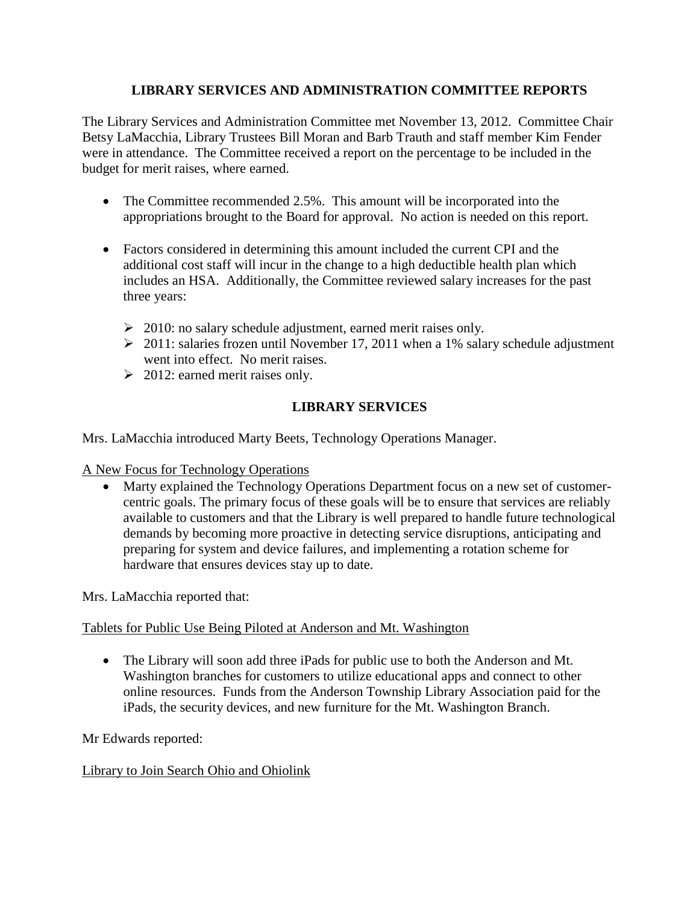## **LIBRARY SERVICES AND ADMINISTRATION COMMITTEE REPORTS**

The Library Services and Administration Committee met November 13, 2012. Committee Chair Betsy LaMacchia, Library Trustees Bill Moran and Barb Trauth and staff member Kim Fender were in attendance. The Committee received a report on the percentage to be included in the budget for merit raises, where earned.

- The Committee recommended 2.5%. This amount will be incorporated into the appropriations brought to the Board for approval. No action is needed on this report.
- Factors considered in determining this amount included the current CPI and the additional cost staff will incur in the change to a high deductible health plan which includes an HSA. Additionally, the Committee reviewed salary increases for the past three years:
	- $\geq 2010$ : no salary schedule adjustment, earned merit raises only.
	- $\geq 2011$ : salaries frozen until November 17, 2011 when a 1% salary schedule adjustment went into effect. No merit raises.
	- $\geq 2012$ : earned merit raises only.

# **LIBRARY SERVICES**

Mrs. LaMacchia introduced Marty Beets, Technology Operations Manager.

A New Focus for Technology Operations

• Marty explained the Technology Operations Department focus on a new set of customercentric goals. The primary focus of these goals will be to ensure that services are reliably available to customers and that the Library is well prepared to handle future technological demands by becoming more proactive in detecting service disruptions, anticipating and preparing for system and device failures, and implementing a rotation scheme for hardware that ensures devices stay up to date.

Mrs. LaMacchia reported that:

## Tablets for Public Use Being Piloted at Anderson and Mt. Washington

 The Library will soon add three iPads for public use to both the Anderson and Mt. Washington branches for customers to utilize educational apps and connect to other online resources. Funds from the Anderson Township Library Association paid for the iPads, the security devices, and new furniture for the Mt. Washington Branch.

Mr Edwards reported:

## Library to Join Search Ohio and Ohiolink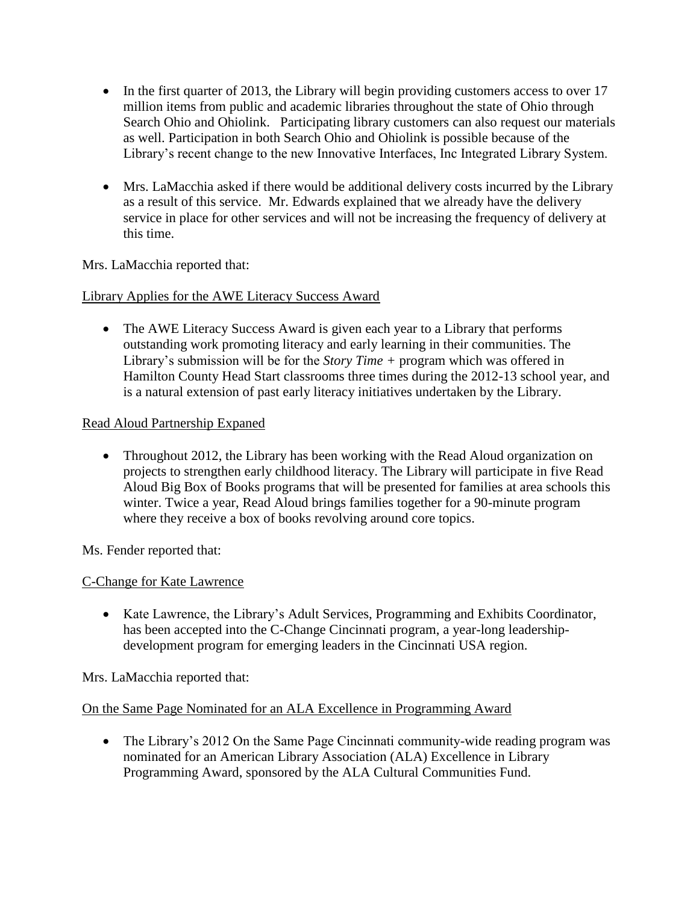- In the first quarter of 2013, the Library will begin providing customers access to over 17 million items from public and academic libraries throughout the state of Ohio through Search Ohio and Ohiolink. Participating library customers can also request our materials as well. Participation in both Search Ohio and Ohiolink is possible because of the Library's recent change to the new Innovative Interfaces, Inc Integrated Library System.
- Mrs. LaMacchia asked if there would be additional delivery costs incurred by the Library as a result of this service. Mr. Edwards explained that we already have the delivery service in place for other services and will not be increasing the frequency of delivery at this time.

Mrs. LaMacchia reported that:

Library Applies for the AWE Literacy Success Award

• The AWE Literacy Success Award is given each year to a Library that performs outstanding work promoting literacy and early learning in their communities. The Library's submission will be for the *Story Time +* program which was offered in Hamilton County Head Start classrooms three times during the 2012-13 school year, and is a natural extension of past early literacy initiatives undertaken by the Library.

## Read Aloud Partnership Expaned

• Throughout 2012, the Library has been working with the Read Aloud organization on projects to strengthen early childhood literacy. The Library will participate in five Read Aloud Big Box of Books programs that will be presented for families at area schools this winter. Twice a year, Read Aloud brings families together for a 90-minute program where they receive a box of books revolving around core topics.

Ms. Fender reported that:

# C-Change for Kate Lawrence

 Kate Lawrence, the Library's Adult Services, Programming and Exhibits Coordinator, has been accepted into the C-Change Cincinnati program, a year-long leadershipdevelopment program for emerging leaders in the Cincinnati USA region.

Mrs. LaMacchia reported that:

## On the Same Page Nominated for an ALA Excellence in Programming Award

• The Library's 2012 On the Same Page Cincinnati community-wide reading program was nominated for an American Library Association (ALA) Excellence in Library Programming Award, sponsored by the ALA Cultural Communities Fund.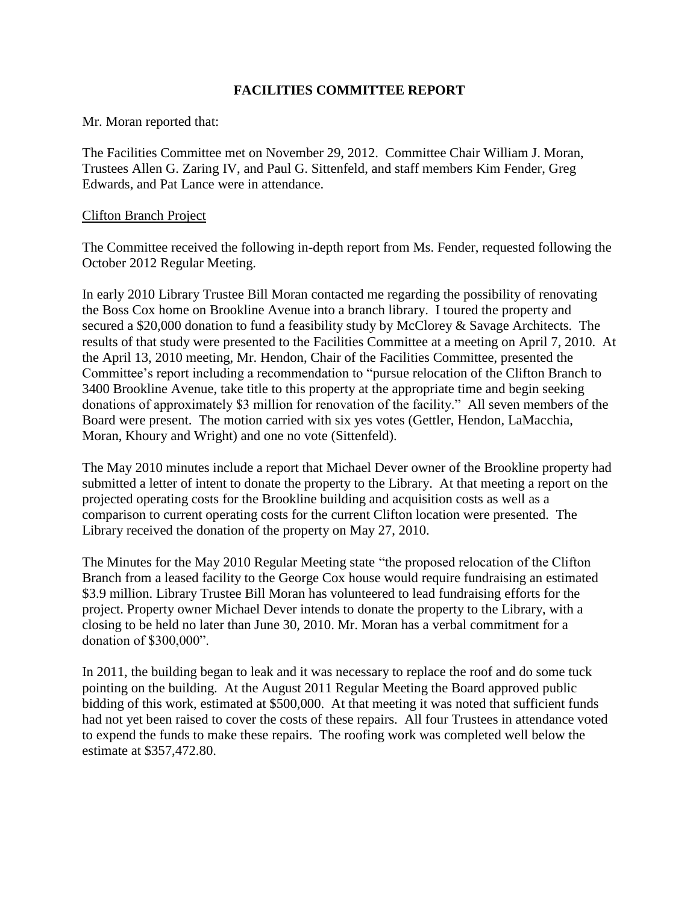### **FACILITIES COMMITTEE REPORT**

Mr. Moran reported that:

The Facilities Committee met on November 29, 2012. Committee Chair William J. Moran, Trustees Allen G. Zaring IV, and Paul G. Sittenfeld, and staff members Kim Fender, Greg Edwards, and Pat Lance were in attendance.

### Clifton Branch Project

The Committee received the following in-depth report from Ms. Fender, requested following the October 2012 Regular Meeting.

In early 2010 Library Trustee Bill Moran contacted me regarding the possibility of renovating the Boss Cox home on Brookline Avenue into a branch library. I toured the property and secured a \$20,000 donation to fund a feasibility study by McClorey & Savage Architects. The results of that study were presented to the Facilities Committee at a meeting on April 7, 2010. At the April 13, 2010 meeting, Mr. Hendon, Chair of the Facilities Committee, presented the Committee's report including a recommendation to "pursue relocation of the Clifton Branch to 3400 Brookline Avenue, take title to this property at the appropriate time and begin seeking donations of approximately \$3 million for renovation of the facility." All seven members of the Board were present. The motion carried with six yes votes (Gettler, Hendon, LaMacchia, Moran, Khoury and Wright) and one no vote (Sittenfeld).

The May 2010 minutes include a report that Michael Dever owner of the Brookline property had submitted a letter of intent to donate the property to the Library. At that meeting a report on the projected operating costs for the Brookline building and acquisition costs as well as a comparison to current operating costs for the current Clifton location were presented. The Library received the donation of the property on May 27, 2010.

The Minutes for the May 2010 Regular Meeting state "the proposed relocation of the Clifton Branch from a leased facility to the George Cox house would require fundraising an estimated \$3.9 million. Library Trustee Bill Moran has volunteered to lead fundraising efforts for the project. Property owner Michael Dever intends to donate the property to the Library, with a closing to be held no later than June 30, 2010. Mr. Moran has a verbal commitment for a donation of \$300,000".

In 2011, the building began to leak and it was necessary to replace the roof and do some tuck pointing on the building. At the August 2011 Regular Meeting the Board approved public bidding of this work, estimated at \$500,000. At that meeting it was noted that sufficient funds had not yet been raised to cover the costs of these repairs. All four Trustees in attendance voted to expend the funds to make these repairs. The roofing work was completed well below the estimate at \$357,472.80.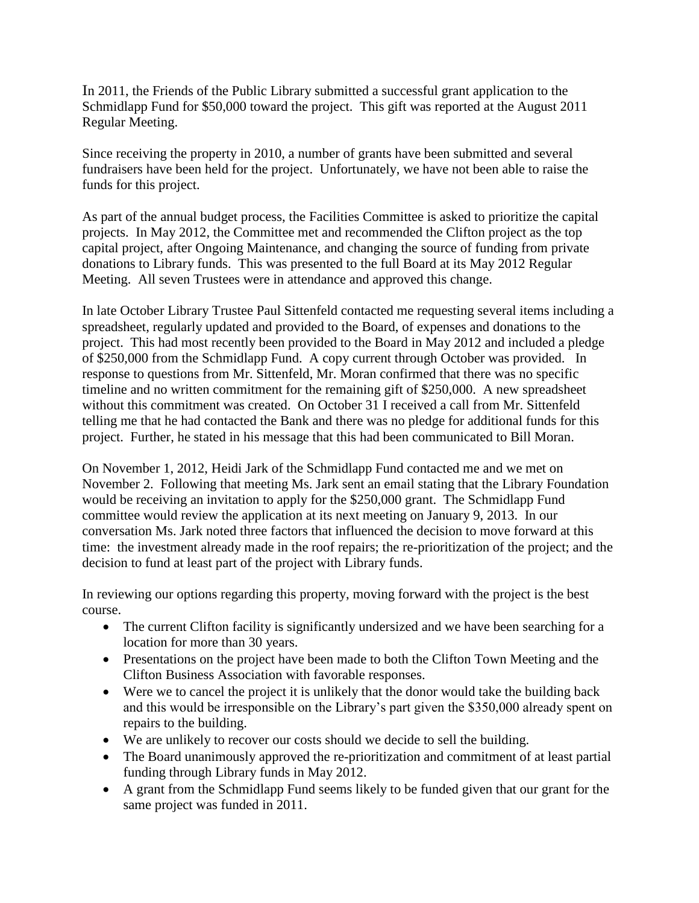In 2011, the Friends of the Public Library submitted a successful grant application to the Schmidlapp Fund for \$50,000 toward the project. This gift was reported at the August 2011 Regular Meeting.

Since receiving the property in 2010, a number of grants have been submitted and several fundraisers have been held for the project. Unfortunately, we have not been able to raise the funds for this project.

As part of the annual budget process, the Facilities Committee is asked to prioritize the capital projects. In May 2012, the Committee met and recommended the Clifton project as the top capital project, after Ongoing Maintenance, and changing the source of funding from private donations to Library funds. This was presented to the full Board at its May 2012 Regular Meeting. All seven Trustees were in attendance and approved this change.

In late October Library Trustee Paul Sittenfeld contacted me requesting several items including a spreadsheet, regularly updated and provided to the Board, of expenses and donations to the project. This had most recently been provided to the Board in May 2012 and included a pledge of \$250,000 from the Schmidlapp Fund. A copy current through October was provided. In response to questions from Mr. Sittenfeld, Mr. Moran confirmed that there was no specific timeline and no written commitment for the remaining gift of \$250,000. A new spreadsheet without this commitment was created. On October 31 I received a call from Mr. Sittenfeld telling me that he had contacted the Bank and there was no pledge for additional funds for this project. Further, he stated in his message that this had been communicated to Bill Moran.

On November 1, 2012, Heidi Jark of the Schmidlapp Fund contacted me and we met on November 2. Following that meeting Ms. Jark sent an email stating that the Library Foundation would be receiving an invitation to apply for the \$250,000 grant. The Schmidlapp Fund committee would review the application at its next meeting on January 9, 2013. In our conversation Ms. Jark noted three factors that influenced the decision to move forward at this time: the investment already made in the roof repairs; the re-prioritization of the project; and the decision to fund at least part of the project with Library funds.

In reviewing our options regarding this property, moving forward with the project is the best course.

- The current Clifton facility is significantly undersized and we have been searching for a location for more than 30 years.
- Presentations on the project have been made to both the Clifton Town Meeting and the Clifton Business Association with favorable responses.
- Were we to cancel the project it is unlikely that the donor would take the building back and this would be irresponsible on the Library's part given the \$350,000 already spent on repairs to the building.
- We are unlikely to recover our costs should we decide to sell the building.
- The Board unanimously approved the re-prioritization and commitment of at least partial funding through Library funds in May 2012.
- A grant from the Schmidlapp Fund seems likely to be funded given that our grant for the same project was funded in 2011.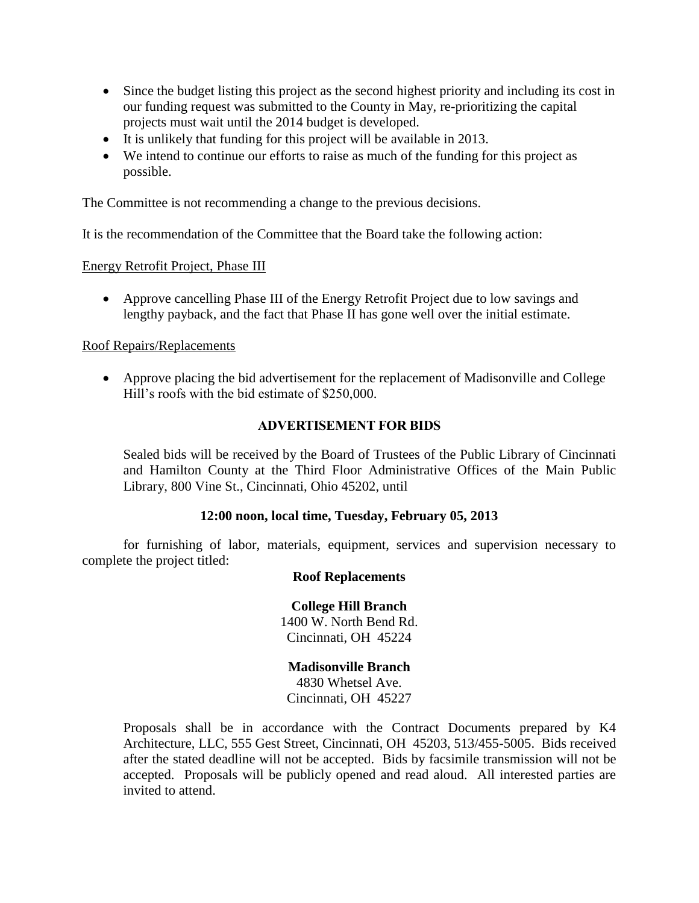- Since the budget listing this project as the second highest priority and including its cost in our funding request was submitted to the County in May, re-prioritizing the capital projects must wait until the 2014 budget is developed.
- It is unlikely that funding for this project will be available in 2013.
- We intend to continue our efforts to raise as much of the funding for this project as possible.

The Committee is not recommending a change to the previous decisions.

It is the recommendation of the Committee that the Board take the following action:

Energy Retrofit Project, Phase III

 Approve cancelling Phase III of the Energy Retrofit Project due to low savings and lengthy payback, and the fact that Phase II has gone well over the initial estimate.

### Roof Repairs/Replacements

 Approve placing the bid advertisement for the replacement of Madisonville and College Hill's roofs with the bid estimate of \$250,000.

### **ADVERTISEMENT FOR BIDS**

Sealed bids will be received by the Board of Trustees of the Public Library of Cincinnati and Hamilton County at the Third Floor Administrative Offices of the Main Public Library, 800 Vine St., Cincinnati, Ohio 45202, until

### **12:00 noon, local time, Tuesday, February 05, 2013**

for furnishing of labor, materials, equipment, services and supervision necessary to complete the project titled:

### **Roof Replacements**

### **College Hill Branch**

1400 W. North Bend Rd. Cincinnati, OH 45224

**Madisonville Branch** 4830 Whetsel Ave. Cincinnati, OH 45227

Proposals shall be in accordance with the Contract Documents prepared by K4 Architecture, LLC, 555 Gest Street, Cincinnati, OH 45203, 513/455-5005. Bids received after the stated deadline will not be accepted. Bids by facsimile transmission will not be accepted. Proposals will be publicly opened and read aloud. All interested parties are invited to attend.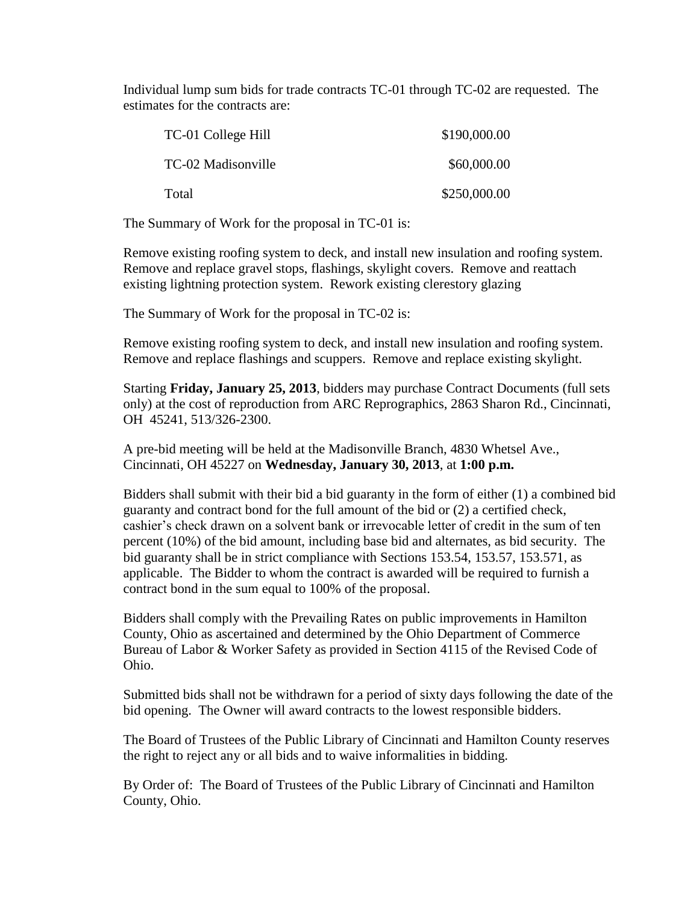Individual lump sum bids for trade contracts TC-01 through TC-02 are requested. The estimates for the contracts are:

| TC-01 College Hill | \$190,000.00 |
|--------------------|--------------|
| TC-02 Madisonville | \$60,000.00  |
| Total              | \$250,000.00 |

The Summary of Work for the proposal in TC-01 is:

Remove existing roofing system to deck, and install new insulation and roofing system. Remove and replace gravel stops, flashings, skylight covers. Remove and reattach existing lightning protection system. Rework existing clerestory glazing

The Summary of Work for the proposal in TC-02 is:

Remove existing roofing system to deck, and install new insulation and roofing system. Remove and replace flashings and scuppers. Remove and replace existing skylight.

Starting **Friday, January 25, 2013**, bidders may purchase Contract Documents (full sets only) at the cost of reproduction from ARC Reprographics, 2863 Sharon Rd., Cincinnati, OH 45241, 513/326-2300.

A pre-bid meeting will be held at the Madisonville Branch, 4830 Whetsel Ave., Cincinnati, OH 45227 on **Wednesday, January 30, 2013**, at **1:00 p.m.**

Bidders shall submit with their bid a bid guaranty in the form of either (1) a combined bid guaranty and contract bond for the full amount of the bid or (2) a certified check, cashier's check drawn on a solvent bank or irrevocable letter of credit in the sum of ten percent (10%) of the bid amount, including base bid and alternates, as bid security. The bid guaranty shall be in strict compliance with Sections 153.54, 153.57, 153.571, as applicable. The Bidder to whom the contract is awarded will be required to furnish a contract bond in the sum equal to 100% of the proposal.

Bidders shall comply with the Prevailing Rates on public improvements in Hamilton County, Ohio as ascertained and determined by the Ohio Department of Commerce Bureau of Labor & Worker Safety as provided in Section 4115 of the Revised Code of Ohio.

Submitted bids shall not be withdrawn for a period of sixty days following the date of the bid opening. The Owner will award contracts to the lowest responsible bidders.

The Board of Trustees of the Public Library of Cincinnati and Hamilton County reserves the right to reject any or all bids and to waive informalities in bidding.

By Order of: The Board of Trustees of the Public Library of Cincinnati and Hamilton County, Ohio.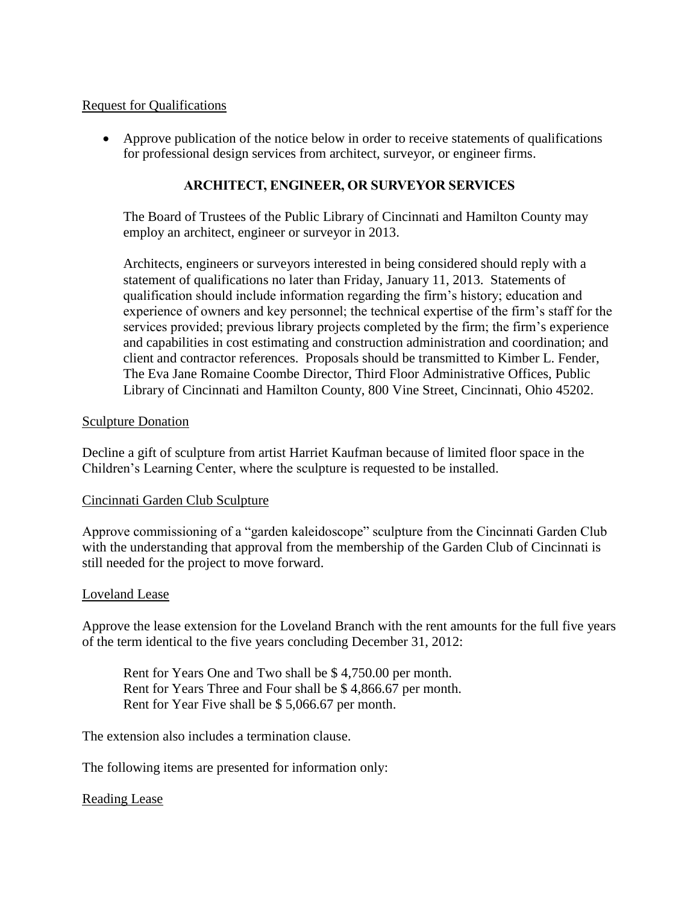### Request for Qualifications

 Approve publication of the notice below in order to receive statements of qualifications for professional design services from architect, surveyor, or engineer firms.

### **ARCHITECT, ENGINEER, OR SURVEYOR SERVICES**

The Board of Trustees of the Public Library of Cincinnati and Hamilton County may employ an architect, engineer or surveyor in 2013.

Architects, engineers or surveyors interested in being considered should reply with a statement of qualifications no later than Friday, January 11, 2013. Statements of qualification should include information regarding the firm's history; education and experience of owners and key personnel; the technical expertise of the firm's staff for the services provided; previous library projects completed by the firm; the firm's experience and capabilities in cost estimating and construction administration and coordination; and client and contractor references. Proposals should be transmitted to Kimber L. Fender, The Eva Jane Romaine Coombe Director, Third Floor Administrative Offices, Public Library of Cincinnati and Hamilton County, 800 Vine Street, Cincinnati, Ohio 45202.

### Sculpture Donation

Decline a gift of sculpture from artist Harriet Kaufman because of limited floor space in the Children's Learning Center, where the sculpture is requested to be installed.

### Cincinnati Garden Club Sculpture

Approve commissioning of a "garden kaleidoscope" sculpture from the Cincinnati Garden Club with the understanding that approval from the membership of the Garden Club of Cincinnati is still needed for the project to move forward.

### Loveland Lease

Approve the lease extension for the Loveland Branch with the rent amounts for the full five years of the term identical to the five years concluding December 31, 2012:

Rent for Years One and Two shall be \$ 4,750.00 per month. Rent for Years Three and Four shall be \$ 4,866.67 per month. Rent for Year Five shall be \$ 5,066.67 per month.

The extension also includes a termination clause.

The following items are presented for information only:

### Reading Lease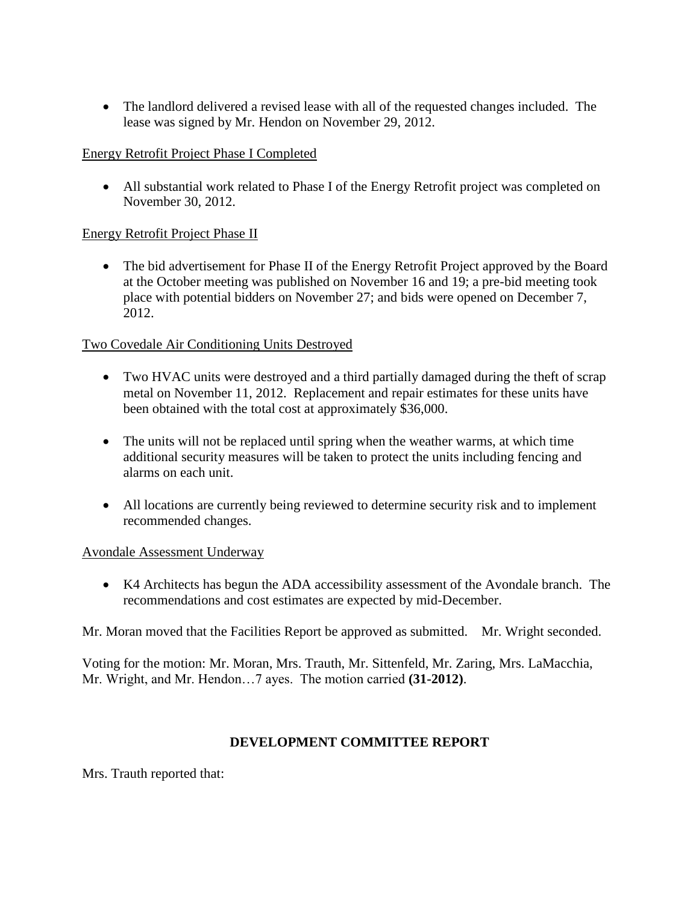The landlord delivered a revised lease with all of the requested changes included. The lease was signed by Mr. Hendon on November 29, 2012.

### Energy Retrofit Project Phase I Completed

 All substantial work related to Phase I of the Energy Retrofit project was completed on November 30, 2012.

### Energy Retrofit Project Phase II

• The bid advertisement for Phase II of the Energy Retrofit Project approved by the Board at the October meeting was published on November 16 and 19; a pre-bid meeting took place with potential bidders on November 27; and bids were opened on December 7, 2012.

## Two Covedale Air Conditioning Units Destroyed

- Two HVAC units were destroyed and a third partially damaged during the theft of scrap metal on November 11, 2012. Replacement and repair estimates for these units have been obtained with the total cost at approximately \$36,000.
- The units will not be replaced until spring when the weather warms, at which time additional security measures will be taken to protect the units including fencing and alarms on each unit.
- All locations are currently being reviewed to determine security risk and to implement recommended changes.

### Avondale Assessment Underway

 K4 Architects has begun the ADA accessibility assessment of the Avondale branch. The recommendations and cost estimates are expected by mid-December.

Mr. Moran moved that the Facilities Report be approved as submitted. Mr. Wright seconded.

Voting for the motion: Mr. Moran, Mrs. Trauth, Mr. Sittenfeld, Mr. Zaring, Mrs. LaMacchia, Mr. Wright, and Mr. Hendon…7 ayes. The motion carried **(31-2012)**.

## **DEVELOPMENT COMMITTEE REPORT**

Mrs. Trauth reported that: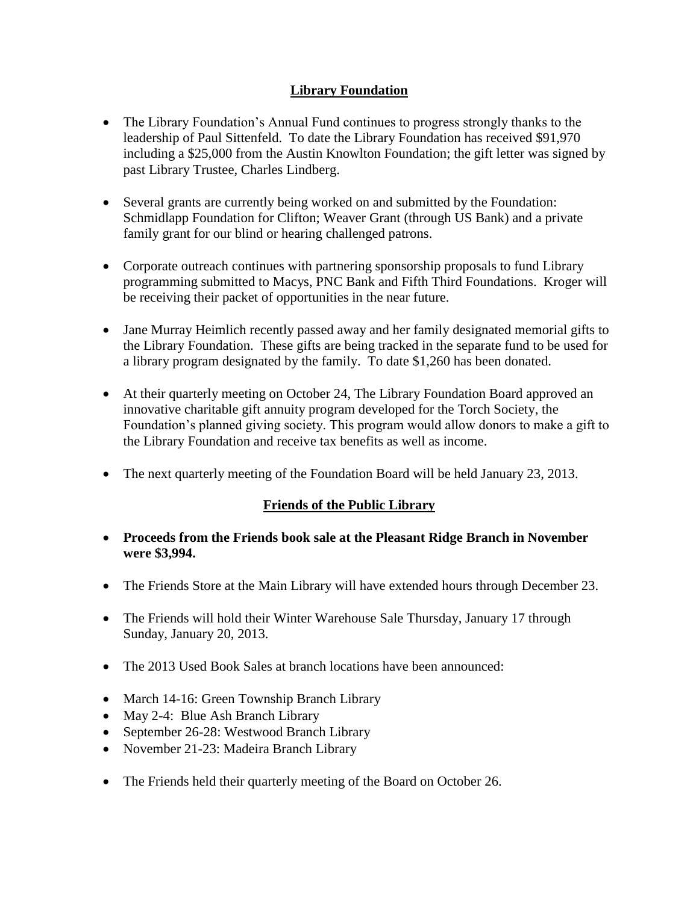## **Library Foundation**

- The Library Foundation's Annual Fund continues to progress strongly thanks to the leadership of Paul Sittenfeld. To date the Library Foundation has received \$91,970 including a \$25,000 from the Austin Knowlton Foundation; the gift letter was signed by past Library Trustee, Charles Lindberg.
- Several grants are currently being worked on and submitted by the Foundation: Schmidlapp Foundation for Clifton; Weaver Grant (through US Bank) and a private family grant for our blind or hearing challenged patrons.
- Corporate outreach continues with partnering sponsorship proposals to fund Library programming submitted to Macys, PNC Bank and Fifth Third Foundations. Kroger will be receiving their packet of opportunities in the near future.
- Jane Murray Heimlich recently passed away and her family designated memorial gifts to the Library Foundation. These gifts are being tracked in the separate fund to be used for a library program designated by the family. To date \$1,260 has been donated.
- At their quarterly meeting on October 24, The Library Foundation Board approved an innovative charitable gift annuity program developed for the Torch Society, the Foundation's planned giving society. This program would allow donors to make a gift to the Library Foundation and receive tax benefits as well as income.
- The next quarterly meeting of the Foundation Board will be held January 23, 2013.

# **Friends of the Public Library**

- **Proceeds from the Friends book sale at the Pleasant Ridge Branch in November were \$3,994.**
- The Friends Store at the Main Library will have extended hours through December 23.
- The Friends will hold their Winter Warehouse Sale Thursday, January 17 through Sunday, January 20, 2013.
- The 2013 Used Book Sales at branch locations have been announced:
- March 14-16: Green Township Branch Library
- May 2-4: Blue Ash Branch Library
- September 26-28: Westwood Branch Library
- November 21-23: Madeira Branch Library
- The Friends held their quarterly meeting of the Board on October 26.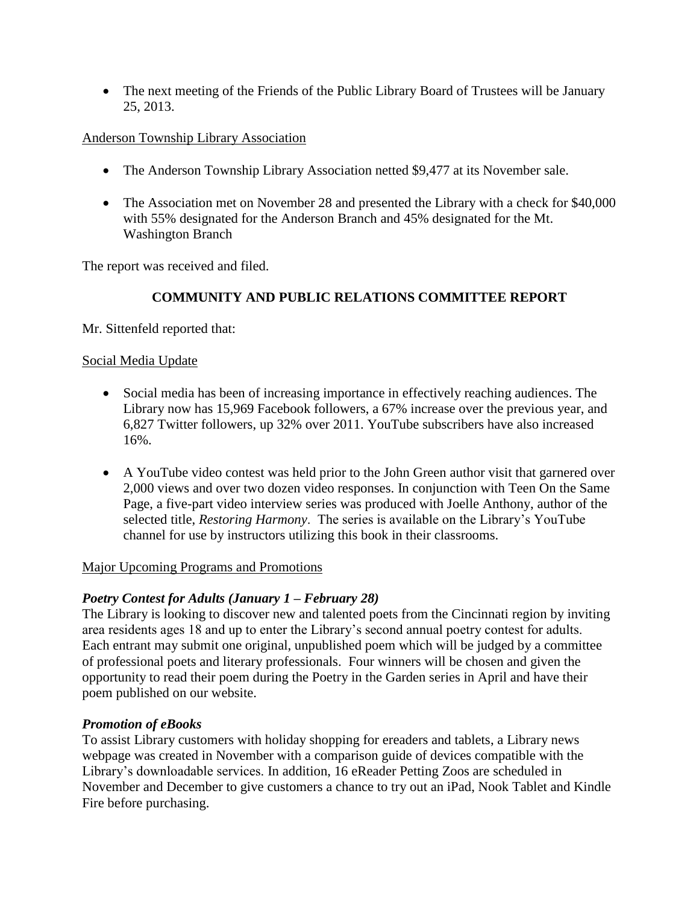• The next meeting of the Friends of the Public Library Board of Trustees will be January 25, 2013.

### Anderson Township Library Association

- The Anderson Township Library Association netted \$9,477 at its November sale.
- The Association met on November 28 and presented the Library with a check for \$40,000 with 55% designated for the Anderson Branch and 45% designated for the Mt. Washington Branch

The report was received and filed.

## **COMMUNITY AND PUBLIC RELATIONS COMMITTEE REPORT**

Mr. Sittenfeld reported that:

### Social Media Update

- Social media has been of increasing importance in effectively reaching audiences. The Library now has 15,969 Facebook followers, a 67% increase over the previous year, and 6,827 Twitter followers, up 32% over 2011. YouTube subscribers have also increased 16%.
- A YouTube video contest was held prior to the John Green author visit that garnered over 2,000 views and over two dozen video responses. In conjunction with Teen On the Same Page, a five-part video interview series was produced with Joelle Anthony, author of the selected title, *Restoring Harmony*. The series is available on the Library's YouTube channel for use by instructors utilizing this book in their classrooms.

## Major Upcoming Programs and Promotions

## *Poetry Contest for Adults (January 1 – February 28)*

The Library is looking to discover new and talented poets from the Cincinnati region by inviting area residents ages 18 and up to enter the Library's second annual poetry contest for adults. Each entrant may submit one original, unpublished poem which will be judged by a committee of professional poets and literary professionals. Four winners will be chosen and given the opportunity to read their poem during the Poetry in the Garden series in April and have their poem published on our website.

## *Promotion of eBooks*

To assist Library customers with holiday shopping for ereaders and tablets, a Library news webpage was created in November with a comparison guide of devices compatible with the Library's downloadable services. In addition, 16 eReader Petting Zoos are scheduled in November and December to give customers a chance to try out an iPad, Nook Tablet and Kindle Fire before purchasing.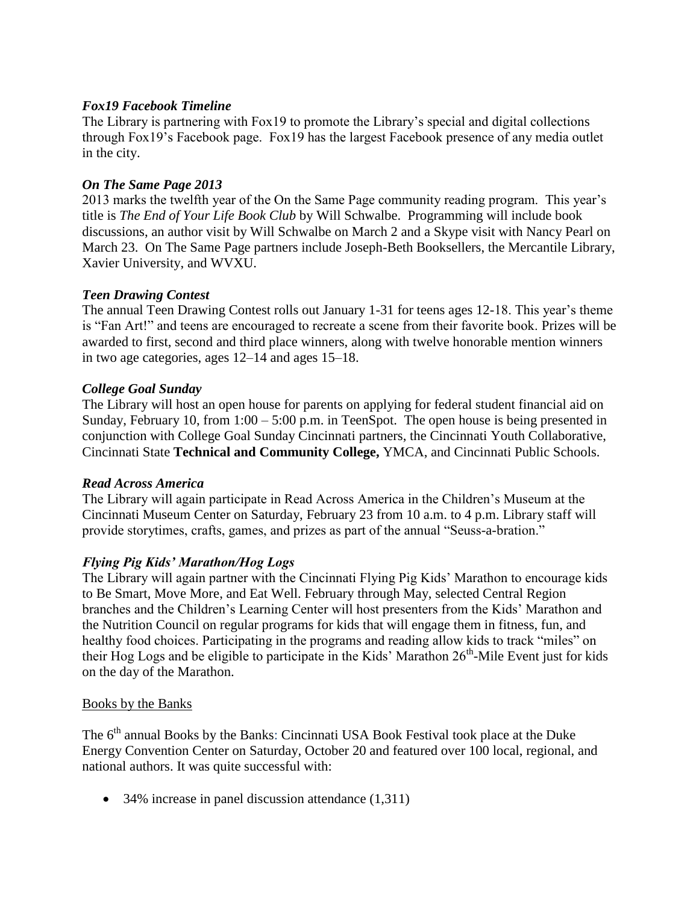### *Fox19 Facebook Timeline*

The Library is partnering with Fox19 to promote the Library's special and digital collections through Fox19's Facebook page. Fox19 has the largest Facebook presence of any media outlet in the city.

### *On The Same Page 2013*

2013 marks the twelfth year of the On the Same Page community reading program. This year's title is *The End of Your Life Book Club* by Will Schwalbe. Programming will include book discussions, an author visit by Will Schwalbe on March 2 and a Skype visit with Nancy Pearl on March 23. On The Same Page partners include Joseph-Beth Booksellers, the Mercantile Library, Xavier University, and WVXU.

### *Teen Drawing Contest*

The annual Teen Drawing Contest rolls out January 1-31 for teens ages 12-18. This year's theme is "Fan Art!" and teens are encouraged to recreate a scene from their favorite book. Prizes will be awarded to first, second and third place winners, along with twelve honorable mention winners in two age categories, ages 12–14 and ages 15–18.

### *College Goal Sunday*

The Library will host an open house for parents on applying for federal student financial aid on Sunday, February 10, from  $1:00 - 5:00$  p.m. in TeenSpot. The open house is being presented in conjunction with College Goal Sunday Cincinnati partners, the Cincinnati Youth Collaborative, Cincinnati State **Technical and Community College,** YMCA, and Cincinnati Public Schools.

### *Read Across America*

The Library will again participate in Read Across America in the Children's Museum at the Cincinnati Museum Center on Saturday, February 23 from 10 a.m. to 4 p.m. Library staff will provide storytimes, crafts, games, and prizes as part of the annual "Seuss-a-bration."

### *Flying Pig Kids' Marathon/Hog Logs*

The Library will again partner with the Cincinnati Flying Pig Kids' Marathon to encourage kids to Be Smart, Move More, and Eat Well. February through May, selected Central Region branches and the Children's Learning Center will host presenters from the Kids' Marathon and the Nutrition Council on regular programs for kids that will engage them in fitness, fun, and healthy food choices. Participating in the programs and reading allow kids to track "miles" on their Hog Logs and be eligible to participate in the Kids' Marathon  $26<sup>th</sup>$ -Mile Event just for kids on the day of the Marathon.

### Books by the Banks

The 6<sup>th</sup> annual Books by the Banks: Cincinnati USA Book Festival took place at the Duke Energy Convention Center on Saturday, October 20 and featured over 100 local, regional, and national authors. It was quite successful with:

• 34% increase in panel discussion attendance (1,311)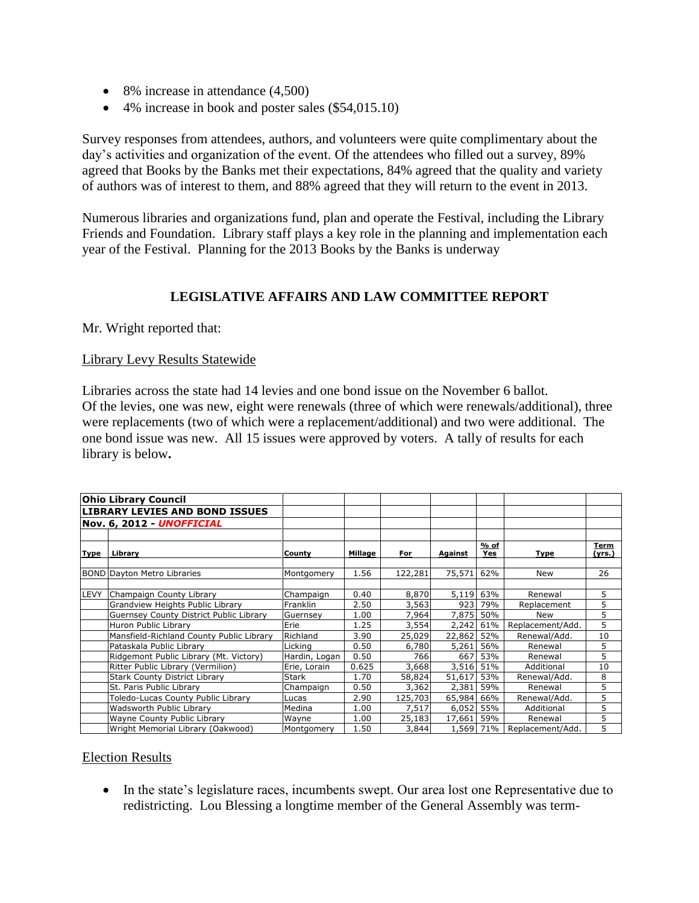- 8% increase in attendance  $(4,500)$
- 4% increase in book and poster sales (\$54,015.10)

Survey responses from attendees, authors, and volunteers were quite complimentary about the day's activities and organization of the event. Of the attendees who filled out a survey, 89% agreed that Books by the Banks met their expectations, 84% agreed that the quality and variety of authors was of interest to them, and 88% agreed that they will return to the event in 2013.

Numerous libraries and organizations fund, plan and operate the Festival, including the Library Friends and Foundation. Library staff plays a key role in the planning and implementation each year of the Festival. Planning for the 2013 Books by the Banks is underway

## **LEGISLATIVE AFFAIRS AND LAW COMMITTEE REPORT**

Mr. Wright reported that:

### Library Levy Results Statewide

Libraries across the state had 14 levies and one bond issue on the November 6 ballot. Of the levies, one was new, eight were renewals (three of which were renewals/additional), three were replacements (two of which were a replacement/additional) and two were additional. The one bond issue was new. All 15 issues were approved by voters. A tally of results for each library is below**.**

|             | <b>Ohio Library Council</b>              |                 |         |         |         |               |                  |                |
|-------------|------------------------------------------|-----------------|---------|---------|---------|---------------|------------------|----------------|
|             | <b>LIBRARY LEVIES AND BOND ISSUES</b>    |                 |         |         |         |               |                  |                |
|             | Nov. 6, 2012 - UNOFFICIAL                |                 |         |         |         |               |                  |                |
|             |                                          |                 |         |         |         |               |                  |                |
| Type        | Library                                  | County          | Millage | For     | Against | $%$ of<br>Yes | Type             | Term<br>(yrs.) |
|             | <b>BOND Dayton Metro Libraries</b>       | Montgomery      | 1.56    | 122,281 | 75,571  | 62%           | New              | 26             |
|             |                                          |                 |         |         |         |               |                  |                |
| <b>LEVY</b> | Champaign County Library                 | Champaign       | 0.40    | 8,870   | 5,119   | 63%           | Renewal          | 5              |
|             | Grandview Heights Public Library         | <b>Franklin</b> | 2.50    | 3,563   | 923     | 79%           | Replacement      | 5              |
|             | Guernsey County District Public Library  | Guernsey        | 1.00    | 7,964   | 7,875   | 50%           | <b>New</b>       | 5              |
|             | Huron Public Library                     | Erie            | 1.25    | 3,554   | 2,242   | 61%           | Replacement/Add. | 5              |
|             | Mansfield-Richland County Public Library | Richland        | 3.90    | 25,029  | 22,862  | 52%           | Renewal/Add.     | 10             |
|             | Pataskala Public Library                 | Licking         | 0.50    | 6,780   | 5,261   | 56%           | Renewal          | 5              |
|             | Ridgemont Public Library (Mt. Victory)   | Hardin, Logan   | 0.50    | 766     | 667     | 53%           | Renewal          | 5              |
|             | Ritter Public Library (Vermilion)        | Erie, Lorain    | 0.625   | 3,668   | 3,516   | 51%           | Additional       | 10             |
|             | <b>Stark County District Library</b>     | <b>Stark</b>    | 1.70    | 58,824  | 51,617  | 53%           | Renewal/Add.     | 8              |
|             | St. Paris Public Library                 | Champaign       | 0.50    | 3,362   | 2,381   | 59%           | Renewal          | 5              |
|             | Toledo-Lucas County Public Library       | Lucas           | 2.90    | 125,703 | 65,984  | 66%           | Renewal/Add.     | 5              |
|             | Wadsworth Public Library                 | Medina          | 1.00    | 7,517   | 6,052   | 55%           | Additional       | 5              |
|             | Wayne County Public Library              | Wayne           | 1.00    | 25,183  | 17,661  | 59%           | Renewal          | 5              |
|             | Wright Memorial Library (Oakwood)        | Montgomery      | 1.50    | 3,844   |         | 1,569 71%     | Replacement/Add. | 5              |

### Election Results

• In the state's legislature races, incumbents swept. Our area lost one Representative due to redistricting. Lou Blessing a longtime member of the General Assembly was term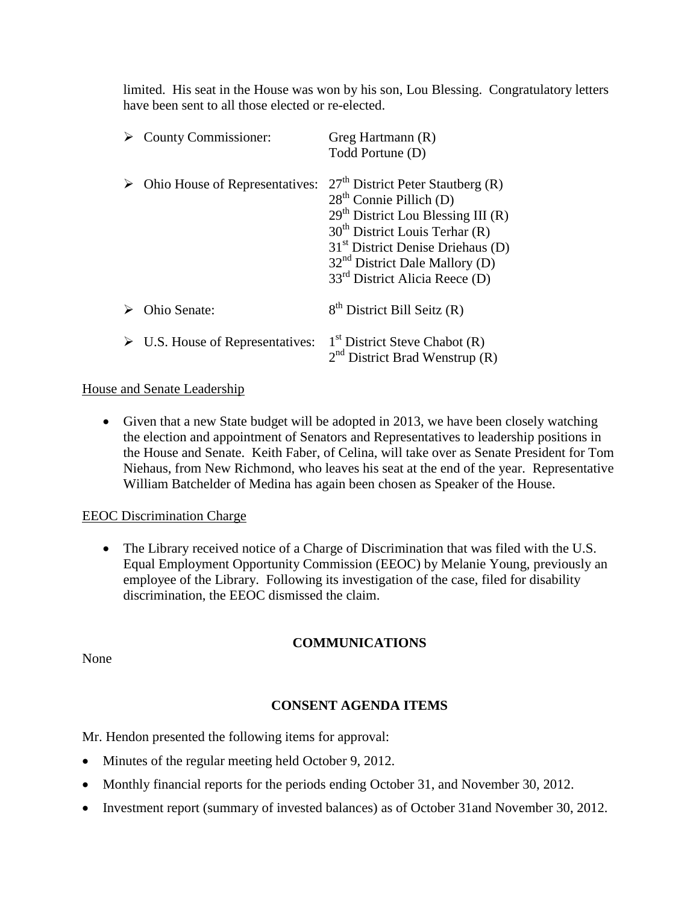limited. His seat in the House was won by his son, Lou Blessing. Congratulatory letters have been sent to all those elected or re-elected.

| <b>County Commissioner:</b>                     | Greg Hartmann (R)<br>Todd Portune (D)                                                                                                                                                                                                                                 |
|-------------------------------------------------|-----------------------------------------------------------------------------------------------------------------------------------------------------------------------------------------------------------------------------------------------------------------------|
| Ohio House of Representatives:                  | $27th$ District Peter Stautberg (R)<br>$28th$ Connie Pillich (D)<br>$29th$ District Lou Blessing III (R)<br>$30th$ District Louis Terhar (R)<br>$31st$ District Denise Driehaus (D)<br>$32nd$ District Dale Mallory (D)<br>33 <sup>rd</sup> District Alicia Reece (D) |
| <b>Ohio Senate:</b>                             | $8th$ District Bill Seitz (R)                                                                                                                                                                                                                                         |
| $\triangleright$ U.S. House of Representatives: | $1st$ District Steve Chabot (R)<br>$2nd$ District Brad Wenstrup (R)                                                                                                                                                                                                   |

## House and Senate Leadership

 Given that a new State budget will be adopted in 2013, we have been closely watching the election and appointment of Senators and Representatives to leadership positions in the House and Senate. Keith Faber, of Celina, will take over as Senate President for Tom Niehaus, from New Richmond, who leaves his seat at the end of the year. Representative William Batchelder of Medina has again been chosen as Speaker of the House.

### EEOC Discrimination Charge

• The Library received notice of a Charge of Discrimination that was filed with the U.S. Equal Employment Opportunity Commission (EEOC) by Melanie Young, previously an employee of the Library. Following its investigation of the case, filed for disability discrimination, the EEOC dismissed the claim.

## **COMMUNICATIONS**

None

## **CONSENT AGENDA ITEMS**

Mr. Hendon presented the following items for approval:

- Minutes of the regular meeting held October 9, 2012.
- Monthly financial reports for the periods ending October 31, and November 30, 2012.
- Investment report (summary of invested balances) as of October 31and November 30, 2012.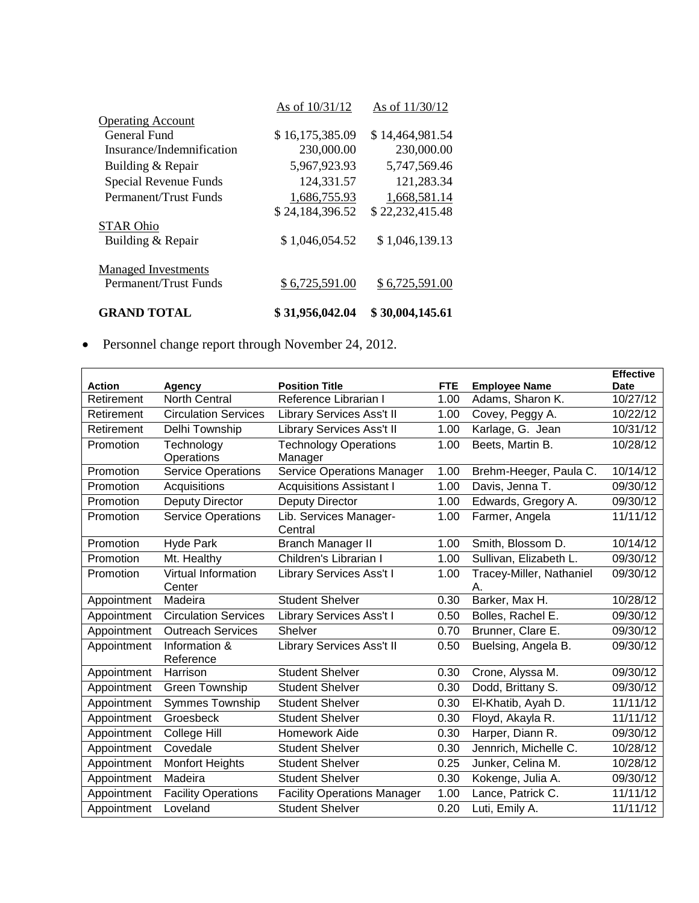|                            | As of 10/31/12  | As of 11/30/12  |
|----------------------------|-----------------|-----------------|
| <b>Operating Account</b>   |                 |                 |
| General Fund               | \$16,175,385.09 | \$14,464,981.54 |
| Insurance/Indemnification  | 230,000.00      | 230,000.00      |
| Building & Repair          | 5,967,923.93    | 5,747,569.46    |
| Special Revenue Funds      | 124,331.57      | 121,283.34      |
| Permanent/Trust Funds      | 1,686,755.93    | 1,668,581.14    |
|                            | \$24,184,396.52 | \$22,232,415.48 |
| <b>STAR Ohio</b>           |                 |                 |
| Building & Repair          | \$1,046,054.52  | \$1,046,139.13  |
| <b>Managed Investments</b> |                 |                 |
| Permanent/Trust Funds      | \$6,725,591.00  | \$6,725,591.00  |
| <b>GRAND TOTAL</b>         | \$31,956,042.04 | \$30,004,145.61 |

Personnel change report through November 24, 2012.

| <b>Action</b> | Agency                        | <b>Position Title</b>                   | <b>FTE</b> | <b>Employee Name</b>           | <b>Effective</b><br>Date |
|---------------|-------------------------------|-----------------------------------------|------------|--------------------------------|--------------------------|
| Retirement    | <b>North Central</b>          | Reference Librarian I                   | 1.00       | Adams, Sharon K.               | 10/27/12                 |
| Retirement    | <b>Circulation Services</b>   | <b>Library Services Ass't II</b>        | 1.00       | Covey, Peggy A.                | 10/22/12                 |
| Retirement    | Delhi Township                | <b>Library Services Ass't II</b>        | 1.00       | Karlage, G. Jean               | 10/31/12                 |
|               |                               |                                         |            |                                |                          |
| Promotion     | Technology<br>Operations      | <b>Technology Operations</b><br>Manager | 1.00       | Beets, Martin B.               | 10/28/12                 |
| Promotion     | <b>Service Operations</b>     | <b>Service Operations Manager</b>       | 1.00       | Brehm-Heeger, Paula C.         | 10/14/12                 |
| Promotion     | Acquisitions                  | <b>Acquisitions Assistant I</b>         | 1.00       | Davis, Jenna T.                | 09/30/12                 |
| Promotion     | Deputy Director               | Deputy Director                         | 1.00       | Edwards, Gregory A.            | 09/30/12                 |
| Promotion     | <b>Service Operations</b>     | Lib. Services Manager-<br>Central       | 1.00       | Farmer, Angela                 | 11/11/12                 |
| Promotion     | <b>Hyde Park</b>              | <b>Branch Manager II</b>                | 1.00       | Smith, Blossom D.              | 10/14/12                 |
| Promotion     | Mt. Healthy                   | Children's Librarian I                  | 1.00       | Sullivan, Elizabeth L.         | 09/30/12                 |
| Promotion     | Virtual Information<br>Center | Library Services Ass't I                | 1.00       | Tracey-Miller, Nathaniel<br>А. | 09/30/12                 |
| Appointment   | Madeira                       | <b>Student Shelver</b>                  | 0.30       | Barker, Max H.                 | 10/28/12                 |
| Appointment   | <b>Circulation Services</b>   | Library Services Ass't I                | 0.50       | Bolles, Rachel E.              | 09/30/12                 |
| Appointment   | <b>Outreach Services</b>      | <b>Shelver</b>                          | 0.70       | Brunner, Clare E.              | 09/30/12                 |
| Appointment   | Information &<br>Reference    | <b>Library Services Ass't II</b>        | 0.50       | Buelsing, Angela B.            | 09/30/12                 |
| Appointment   | Harrison                      | <b>Student Shelver</b>                  | 0.30       | Crone, Alyssa M.               | 09/30/12                 |
| Appointment   | Green Township                | <b>Student Shelver</b>                  | 0.30       | Dodd, Brittany S.              | 09/30/12                 |
| Appointment   | Symmes Township               | <b>Student Shelver</b>                  | 0.30       | El-Khatib, Ayah D.             | 11/11/12                 |
| Appointment   | Groesbeck                     | <b>Student Shelver</b>                  | 0.30       | Floyd, Akayla R.               | 11/11/12                 |
| Appointment   | College Hill                  | Homework Aide                           | 0.30       | Harper, Diann R.               | 09/30/12                 |
| Appointment   | Covedale                      | <b>Student Shelver</b>                  | 0.30       | Jennrich, Michelle C.          | 10/28/12                 |
| Appointment   | <b>Monfort Heights</b>        | <b>Student Shelver</b>                  | 0.25       | Junker, Celina M.              | 10/28/12                 |
| Appointment   | Madeira                       | <b>Student Shelver</b>                  | 0.30       | Kokenge, Julia A.              | 09/30/12                 |
| Appointment   | <b>Facility Operations</b>    | <b>Facility Operations Manager</b>      | 1.00       | Lance, Patrick C.              | 11/11/12                 |
| Appointment   | Loveland                      | <b>Student Shelver</b>                  | 0.20       | Luti, Emily A.                 | 11/11/12                 |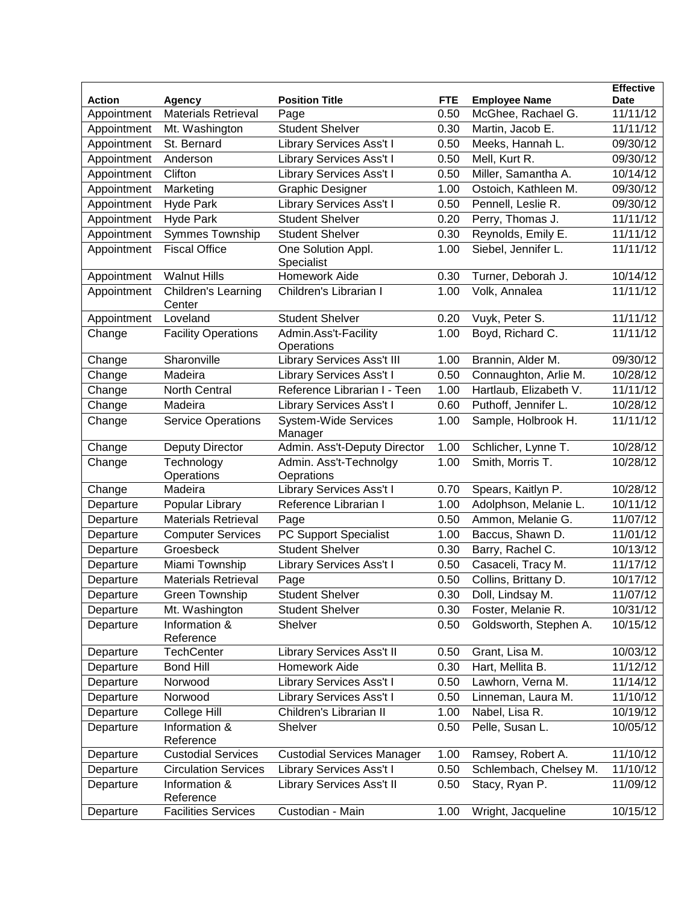|               |                               |                                        |            |                        | <b>Effective</b> |
|---------------|-------------------------------|----------------------------------------|------------|------------------------|------------------|
| <b>Action</b> | Agency                        | <b>Position Title</b>                  | <b>FTE</b> | <b>Employee Name</b>   | Date             |
| Appointment   | <b>Materials Retrieval</b>    | Page                                   | 0.50       | McGhee, Rachael G.     | 11/11/12         |
| Appointment   | Mt. Washington                | <b>Student Shelver</b>                 | 0.30       | Martin, Jacob E.       | 11/11/12         |
| Appointment   | St. Bernard                   | Library Services Ass't I               | 0.50       | Meeks, Hannah L.       | 09/30/12         |
| Appointment   | Anderson                      | Library Services Ass't I               | 0.50       | Mell, Kurt R.          | 09/30/12         |
| Appointment   | Clifton                       | Library Services Ass't I               | 0.50       | Miller, Samantha A.    | 10/14/12         |
| Appointment   | Marketing                     | <b>Graphic Designer</b>                | 1.00       | Ostoich, Kathleen M.   | 09/30/12         |
| Appointment   | <b>Hyde Park</b>              | <b>Library Services Ass't I</b>        | 0.50       | Pennell, Leslie R.     | 09/30/12         |
| Appointment   | <b>Hyde Park</b>              | <b>Student Shelver</b>                 | 0.20       | Perry, Thomas J.       | 11/11/12         |
| Appointment   | <b>Symmes Township</b>        | <b>Student Shelver</b>                 | 0.30       | Reynolds, Emily E.     | 11/11/12         |
| Appointment   | <b>Fiscal Office</b>          | One Solution Appl.<br>Specialist       | 1.00       | Siebel, Jennifer L.    | 11/11/12         |
| Appointment   | <b>Walnut Hills</b>           | <b>Homework Aide</b>                   | 0.30       | Turner, Deborah J.     | 10/14/12         |
| Appointment   | Children's Learning<br>Center | Children's Librarian I                 | 1.00       | Volk, Annalea          | 11/11/12         |
| Appointment   | Loveland                      | <b>Student Shelver</b>                 | 0.20       | Vuyk, Peter S.         | 11/11/12         |
| Change        | <b>Facility Operations</b>    | Admin.Ass't-Facility<br>Operations     | 1.00       | Boyd, Richard C.       | 11/11/12         |
| Change        | Sharonville                   | <b>Library Services Ass't III</b>      | 1.00       | Brannin, Alder M.      | 09/30/12         |
| Change        | Madeira                       | <b>Library Services Ass't I</b>        | 0.50       | Connaughton, Arlie M.  | 10/28/12         |
| Change        | North Central                 | Reference Librarian I - Teen           | 1.00       | Hartlaub, Elizabeth V. | 11/11/12         |
| Change        | Madeira                       | Library Services Ass't I               | 0.60       | Puthoff, Jennifer L.   | 10/28/12         |
| Change        | <b>Service Operations</b>     | <b>System-Wide Services</b><br>Manager | 1.00       | Sample, Holbrook H.    | 11/11/12         |
| Change        | Deputy Director               | Admin. Ass't-Deputy Director           | 1.00       | Schlicher, Lynne T.    | 10/28/12         |
| Change        | Technology<br>Operations      | Admin. Ass't-Technolgy<br>Oeprations   | 1.00       | Smith, Morris T.       | 10/28/12         |
| Change        | Madeira                       | Library Services Ass't I               | 0.70       | Spears, Kaitlyn P.     | 10/28/12         |
| Departure     | Popular Library               | Reference Librarian I                  | 1.00       | Adolphson, Melanie L.  | 10/11/12         |
| Departure     | <b>Materials Retrieval</b>    | Page                                   | 0.50       | Ammon, Melanie G.      | 11/07/12         |
| Departure     | <b>Computer Services</b>      | PC Support Specialist                  | 1.00       | Baccus, Shawn D.       | 11/01/12         |
| Departure     | Groesbeck                     | <b>Student Shelver</b>                 | 0.30       | Barry, Rachel C.       | 10/13/12         |
| Departure     | Miami Township                | <b>Library Services Ass't I</b>        | 0.50       | Casaceli, Tracy M.     | 11/17/12         |
| Departure     | <b>Materials Retrieval</b>    | Page                                   | 0.50       | Collins, Brittany D.   | 10/17/12         |
| Departure     | Green Township                | <b>Student Shelver</b>                 | 0.30       | Doll, Lindsay M.       | 11/07/12         |
| Departure     | Mt. Washington                | Student Shelver                        | 0.30       | Foster, Melanie R.     | 10/31/12         |
| Departure     | Information &<br>Reference    | Shelver                                | 0.50       | Goldsworth, Stephen A. | 10/15/12         |
| Departure     | <b>TechCenter</b>             | Library Services Ass't II              | 0.50       | Grant, Lisa M.         | 10/03/12         |
| Departure     | <b>Bond Hill</b>              | Homework Aide                          | 0.30       | Hart, Mellita B.       | 11/12/12         |
| Departure     | Norwood                       | Library Services Ass't I               | 0.50       | Lawhorn, Verna M.      | 11/14/12         |
| Departure     | Norwood                       | Library Services Ass't I               | 0.50       | Linneman, Laura M.     | 11/10/12         |
| Departure     | College Hill                  | Children's Librarian II                | 1.00       | Nabel, Lisa R.         | 10/19/12         |
| Departure     | Information &<br>Reference    | Shelver                                | 0.50       | Pelle, Susan L.        | 10/05/12         |
| Departure     | <b>Custodial Services</b>     | <b>Custodial Services Manager</b>      | 1.00       | Ramsey, Robert A.      | 11/10/12         |
| Departure     | <b>Circulation Services</b>   | Library Services Ass't I               | 0.50       | Schlembach, Chelsey M. | 11/10/12         |
| Departure     | Information &<br>Reference    | <b>Library Services Ass't II</b>       | 0.50       | Stacy, Ryan P.         | 11/09/12         |
| Departure     | <b>Facilities Services</b>    | Custodian - Main                       | 1.00       | Wright, Jacqueline     | 10/15/12         |